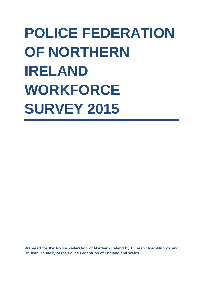# **POLICE FEDERATION OF NORTHERN IRELAND WORKFORCE SURVEY 2015**

**Prepared for the Police Federation of Northern Ireland by Dr Fran Boag-Munroe and Dr Joan Donnelly of the Police Federation of England and Wales**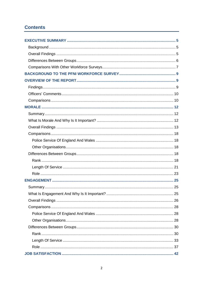# **Contents**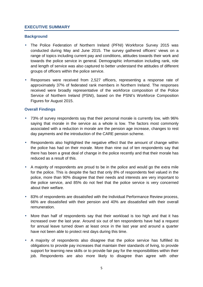# **EXECUTIVE SUMMARY**

#### **Background**

- The Police Federation of Northern Ireland (PFNI) Workforce Survey 2015 was conducted during May and June 2015. The survey gathered officers' views on a range of topics including current pay and conditions, attitudes towards their work and towards the police service in general. Demographic information including rank, role and length of service was also captured to better understand the attitudes of different groups of officers within the police service.
- Responses were received from 2,527 officers, representing a response rate of approximately 37% of federated rank members in Northern Ireland. The responses received were broadly representative of the workforce composition of the Police Service of Northern Ireland (PSNI), based on the PSNI's Workforce Composition Figures for August 2015.

## **Overall Findings**

- 73% of survey respondents say that their personal morale is currently low, with 96% saying that morale in the service as a whole is low. The factors most commonly associated with a reduction in morale are the pension age increase, changes to rest day payments and the introduction of the CARE pension scheme.
- Respondents also highlighted the negative effect that the amount of change within the police has had on their morale. More than nine out of ten respondents say that there has been a great deal of change in the police recently and that their morale has reduced as a result of this.
- A majority of respondents are proud to be in the police and would go the extra mile for the police. This is despite the fact that only 8% of respondents feel valued in the police, more than 90% disagree that their needs and interests are very important to the police service, and 85% do not feel that the police service is very concerned about their welfare.
- 83% of respondents are dissatisfied with the Individual Performance Review process, 66% are dissatisfied with their pension and 40% are dissatisfied with their overall remuneration.
- More than half of respondents say that their workload is too high and that it has increased over the last year. Around six out of ten respondents have had a request for annual leave turned down at least once in the last year and around a quarter have not been able to protect rest days during this time.
- A majority of respondents also disagree that the police service has fulfilled its obligations to provide pay increases that maintain their standards of living, to provide support for learning new skills or to provide fair pay for the responsibilities within their job. Respondents are also more likely to disagree than agree with other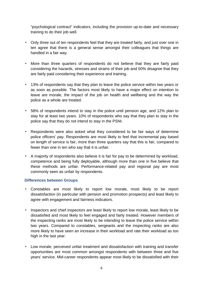"psychological contract" indicators, including the provision up-to-date and necessary training to do their job well.

- Only three out of ten respondents feel that they are treated fairly, and just over one in ten agree that there is a general sense amongst their colleagues that things are handled in a fair way.
- More than three quarters of respondents do not believe that they are fairly paid considering the hazards, stresses and strains of their job and 50% disagree that they are fairly paid considering their experience and training.
- 13% of respondents say that they plan to leave the police service within two years or as soon as possible. The factors most likely to have a major effect on intention to leave are morale, the impact of the job on health and wellbeing and the way the police as a whole are treated.
- 58% of respondents intend to stay in the police until pension age, and 12% plan to stay for at least two years. 10% of respondents who say that they plan to stay in the police say that they do not intend to stay in the PSNI.
- Respondents were also asked what they considered to be fair ways of determine police officers' pay. Respondents are most likely to feel that incremental pay based on length of service is fair, more than three quarters say that this is fair, compared to fewer than one in ten who say that it is unfair.
- A majority of respondents also believe it is fair for pay to be determined by workload, competence and being fully deployable, although more than one in five believe that these methods are unfair. Performance-related pay and regional pay are most commonly seen as unfair by respondents.

## **Differences between Groups**

- Constables are most likely to report low morale, most likely to be report dissatisfaction (in particular with pension and promotion prospects) and least likely to agree with engagement and fairness indicators.
- Inspectors and chief inspectors are least likely to report low morale, least likely to be dissatisfied and most likely to feel engaged and fairly treated. However members of the inspecting ranks are most likely to be intending to leave the police service within two years. Compared to constables, sergeants and the inspecting ranks are also more likely to have seen an increase in their workload and rate their workload as too high in the last year.
- Low morale, perceived unfair treatment and dissatisfaction with training and transfer opportunities are most common amongst respondents with between three and five years' service. Mid-career respondents appear most likely to be dissatisfied with their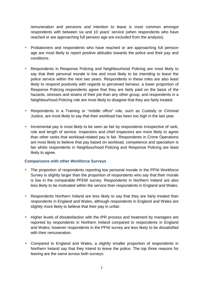remuneration and pensions and intention to leave is most common amongst respondents with between six and 10 years' service (when respondents who have reached or are approaching full pension age are excluded from the analysis).

- Probationers and respondents who have reached or are approaching full pension age are most likely to report positive attitudes towards the police and their pay and conditions.
- Respondents in Response Policing and Neighbourhood Policing are most likely to say that their personal morale is low and most likely to be intending to leave the police service within the next two years. Respondents in these roles are also least likely to respond positively with regards to perceived fairness: a lower proportion of Response Policing respondents agree that they are fairly paid on the basis of the hazards, stresses and strains of their job than any other group, and respondents in a Neighbourhood Policing role are most likely to disagree that they are fairly treated.
- Respondents in a Training or "middle office" role, such as Custody or Criminal Justice, are most likely to say that their workload has been too high in the last year.
- Incremental pay is most likely to be seen as fair by respondents irrespective of rank, role and length of service. Inspectors and chief inspectors are more likely to agree than other ranks that workload-related pay is fair. Respondents in Crime Operations are most likely to believe that pay based on workload, competence and specialism is fair whilst respondents in Neighbourhood Policing and Response Policing are least likely to agree.

## **Comparisons with other Workforce Surveys**

- The proportion of respondents reporting low personal morale in the PFNI Workforce Survey is slightly larger than the proportion of respondents who say that their morale is low in the comparable PFEW survey. Respondents in Northern Ireland are also less likely to be motivated within the service than respondents in England and Wales.
- Respondents Northern Ireland are less likely to say that they are fairly treated than respondents in England and Wales, although respondents in England and Wales are slightly more likely to believe that their pay in unfair.
- Higher levels of dissatisfaction with the IPR process and treatment by managers are reported by respondents in Northern Ireland compared to respondents in England and Wales; however respondents in the PFNI survey are less likely to be dissatisfied with their remuneration.
- Compared to England and Wales, a slightly smaller proportion of respondents in Northern Ireland say that they intend to leave the police. The top three reasons for leaving are the same across both surveys.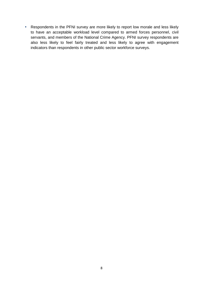• Respondents in the PFNI survey are more likely to report low morale and less likely to have an acceptable workload level compared to armed forces personnel, civil servants, and members of the National Crime Agency. PFNI survey respondents are also less likely to feel fairly treated and less likely to agree with engagement indicators than respondents in other public sector workforce surveys.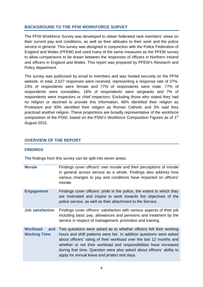# **BACKGROUND TO THE PFNI WORKFORCE SURVEY**

The PFNI Workforce Survey was developed to obtain federated rank members' views on their current pay and conditions, as well as their attitudes to their work and the police service in general. This survey was designed in conjunction with the Police Federation of England and Wales (PFEW) and used many of the same measures as the PFEW survey to allow comparisons to be drawn between the responses of officers in Northern Ireland and officers in England and Wales. This report was prepared by PFEW's Research and Policy department.

The survey was publicised by email to members and was hosted securely on the PFNI website. In total, 2,527 responses were received, representing a response rate of 37%. 23% of respondents were female and 77% of respondents were male. 77% of respondents were constables, 16% of respondents were sergeants and 7% of respondents were inspectors or chief inspectors. Excluding those who stated they had no religion or declined to provide this information, 66% identified their religion as Protestant and 30% identified their religion as Roman Catholic and 3% said they practiced another religion. These proportions are broadly representative of the workforce composition of the PSNI, based on the PSNI's Workforce Composition Figures as of 1<sup>st</sup> August 2015.

# **OVERVIEW OF THE REPORT**

#### **FINDINGS**

The findings from this survey can be split into seven areas:

| <b>Morale</b>                                 | Findings cover officers' own morale and their perceptions of morale<br>in general across service as a whole. Findings also address how<br>various changes to pay and conditions have impacted on officers'<br>morale.                                                                                                                                                                                             |
|-----------------------------------------------|-------------------------------------------------------------------------------------------------------------------------------------------------------------------------------------------------------------------------------------------------------------------------------------------------------------------------------------------------------------------------------------------------------------------|
| <b>Engagement</b>                             | Findings cover officers' pride in the police, the extent to which they<br>are motivated and inspire to work towards the objectives of the<br>police service, as well as their attachment to the Service.                                                                                                                                                                                                          |
| <b>Job satisfaction</b>                       | Findings cover officers' satisfaction with various aspects of their job<br>including basic pay, allowances and pensions and treatment by the<br>service in respect of management, promotion and training.                                                                                                                                                                                                         |
| <b>Workload</b><br>and<br><b>Working Time</b> | Two questions were asked as to whether officers felt their working<br>hours and shift patterns were fair. In addition questions were asked<br>about officers' rating of their workload over the last 12 months and<br>whether or not their workload and responsibilities have increased<br>during that time. Question were also asked about officers' ability to<br>apply for annual leave and protect rest days. |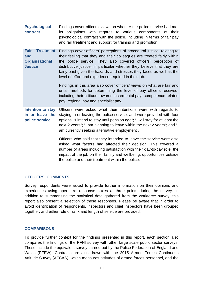**Psychological contract** Findings cover officers' views on whether the police service had met its obligations with regards to various components of their psychological contract with the police, including in terms of fair pay and fair treatment and support for training and promotion.

**Fair Treatment and Organisational Justice** Findings cover officers' perceptions of procedural justice, relating to their feeling that they and their colleagues are treated fairly within the police service. They also covered officers' perception of distributive justice, in particular whether they believe that they are fairly paid given the hazards and stresses they faced as well as the level of effort and experience required in their job.

> Findings in this area also cover officers' views on what are fair and unfair methods for determining the level of pay officers received, including their attitude towards incremental pay, competence-related pay, regional pay and specialist pay.

**Intention to stay in or leave the police service** Officers were asked what their intentions were with regards to staying in or leaving the police service, and were provided with four options: "I intend to stay until pension age"; "I will stay for at least the next 2 years"; "I am planning to leave within the next 2 years"; and "I am currently seeking alternative employment".

> Officers who said that they intended to leave the service were also asked what factors had affected their decision. This covered a number of areas including satisfaction with their day-to-day role, the impact of the job on their family and wellbeing, opportunities outside the police and their treatment within the police.

#### **OFFICERS' COMMENTS**

Survey respondents were asked to provide further information on their opinions and experiences using open text response boxes at three points during the survey. In addition to summarising the statistical data gathered from the workforce survey, this report also present a selection of these responses. Please be aware that in order to avoid identification of respondents, inspectors and chief inspectors have been grouped together, and either role or rank and length of service are provided.

#### **COMPARISONS**

To provide further context for the findings presented in this report, each section also compares the findings of the PFNI survey with other large scale public sector surveys. These include the equivalent survey carried out by the Police Federation of England and Wales (PFEW). Contrasts are also drawn with the 2015 Armed Forces Continuous Attitude Survey (AFCAS), which measures attitudes of armed forces personnel, and the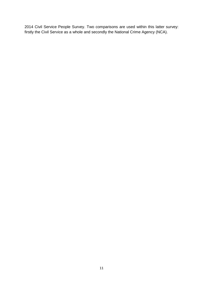2014 Civil Service People Survey. Two comparisons are used within this latter survey: firstly the Civil Service as a whole and secondly the National Crime Agency (NCA).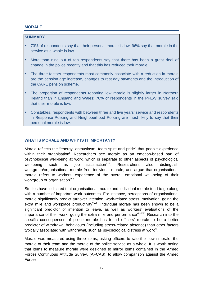## **MORALE**

## **SUMMARY**

- 73% of respondents say that their personal morale is low, 96% say that morale in the service as a whole is low.
- More than nine out of ten respondents say that there has been a great deal of change in the police recently and that this has reduced their morale.
- The three factors respondents most commonly associate with a reduction in morale are the pension age increase, changes to rest day payments and the introduction of the CARE pension scheme.
- The proportion of respondents reporting low morale is slightly larger in Northern Ireland than in England and Wales; 70% of respondents in the PFEW survey said that their morale is low.
- Constables, respondents with between three and five years' service and respondents in Response Policing and Neighbourhood Policing are most likely to say that their personal morale is low.

# **WHAT IS MORALE AND WHY IS IT IMPORTANT?**

Morale reflects the "energy, enthusiasm, team spirit and pride" that people experience within their organisation<sup>i</sup>. Researchers see morale as an emotion-based part of psychological well-being at work, which is separate to other aspects of psychological well-being such as job satisfaction<sup>ii,iii</sup>. Researchers also distinguish workgroup/organisational morale from individual morale, and argue that organisational morale refers to workers' experience of the overall emotional well-being of their workgroup or organisation<sup>iv,v</sup>.

Studies have indicated that organisational morale and individual morale tend to go along with a number of important work outcomes. For instance, perceptions of organisational morale significantly predict turnover intention, work-related stress, motivation, going the extra mile and workplace productivity  $x_i$ , Individual morale has been shown to be a significant predictor of intention to leave, as well as workers' evaluations of the importance of their work, going the extra mile and performance  $\frac{\text{Viii}, \text{ix}, \text{x}}{\text{R}}$ . Research into the specific consequences of police morale has found officers' morale to be a better predictor of withdrawal behaviours (including stress-related absence) than other factors typically associated with withdrawal, such as psychological distress at work ${}^{\text{xi}}$ .

Morale was measured using three items, asking officers to rate their own morale, the morale of their team and the morale of the police service as a whole. It is worth noting that items to measure morale were designed to mirror items contained in the Armed Forces Continuous Attitude Survey, (AFCAS), to allow comparison against the Armed Forces.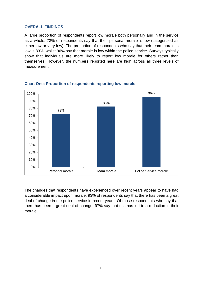#### **OVERALL FINDINGS**

A large proportion of respondents report low morale both personally and in the service as a whole. 73% of respondents say that their personal morale is low (categorised as either low or very low). The proportion of respondents who say that their team morale is low is 83%, whilst 96% say that morale is low within the police service. Surveys typically show that individuals are more likely to report low morale for others rather than themselves. However, the numbers reported here are high across all three levels of measurement.



## **Chart One: Proportion of respondents reporting low morale**

The changes that respondents have experienced over recent years appear to have had a considerable impact upon morale. 93% of respondents say that there has been a great deal of change in the police service in recent years. Of those respondents who say that there has been a great deal of change, 97% say that this has led to a reduction in their morale.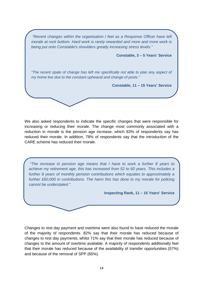"Recent changes within the organisation I feel as a Response Officer have left morale at rock bottom. Hard work is rarely rewarded and more and more work is being put onto Constable's shoulders greatly increasing stress levels." **Constable, 3 – 5 Years' Service**  "The recent spate of change has left me specifically not able to plan any aspect of my home live due to the constant upheaval and change of posts." **Constable, 11 – 15 Years' Service** 

We also asked respondents to indicate the specific changes that were responsible for increasing or reducing their morale. The change most commonly associated with a reduction in morale is the pension age increase, which 83% of respondents say has reduced their morale. In addition, 78% of respondents say that the introduction of the CARE scheme has reduced their morale.

 "The increase in pension age means that I have to work a further 8 years to achieve my retirement age, this has increased from 52 to 60 years. This includes a further 8 years of monthly pension contributions which equates to approximately a further £60,000 in contributions. The harm this has done to my morale for policing cannot be understated."

**Inspecting Rank, 11 – 15 Years' Service** 

Changes to rest day payment and overtime were also found to have reduced the morale of the majority of respondents. 82% say that their morale has reduced because of changes to rest day payments, whilst 71% say that their morale has reduced because of changes to the amount of overtime available. A majority of respondents additionally feel that their morale has reduced because of the availability of transfer opportunities (57%) and because of the removal of SPP (65%).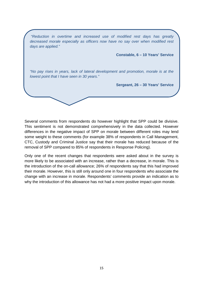"Reduction in overtime and increased use of modified rest days has greatly decreased morale especially as officers now have no say over when modified rest days are applied." **Constable, 6 – 10 Years' Service**  "No pay rises in years, lack of lateral development and promotion, morale is at the lowest point that I have seen in 30 years." **Sergeant, 26 – 30 Years' Service** 

Several comments from respondents do however highlight that SPP could be divisive. This sentiment is not demonstrated comprehensively in the data collected. However differences in the negative impact of SPP on morale between different roles may lend some weight to these comments (for example 38% of respondents in Call Management, CTC, Custody and Criminal Justice say that their morale has reduced because of the removal of SPP compared to 85% of respondents in Response Policing).

Only one of the recent changes that respondents were asked about in the survey is more likely to be associated with an increase, rather than a decrease, in morale. This is the introduction of the on-call allowance; 26% of respondents say that this had improved their morale. However, this is still only around one in four respondents who associate the change with an increase in morale. Respondents' comments provide an indication as to why the introduction of this allowance has not had a more positive impact upon morale.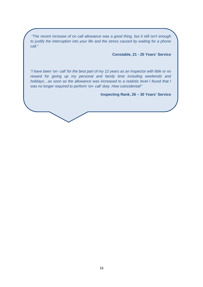"The recent increase of on call allowance was a good thing, but it still isn't enough to justify the interruption into your life and the stress caused by waiting for a phone call."

**Constable, 21 - 25 Years' Service** 

"I have been 'on- call' for the best part of my 12 years as an Inspector with little or no reward for giving up my personal and family time including weekends and holidays…as soon as the allowance was increased to a realistic level I found that I was no longer required to perform 'on- call' duty. How coincidental!"

**Inspecting Rank, 26 – 30 Years' Service**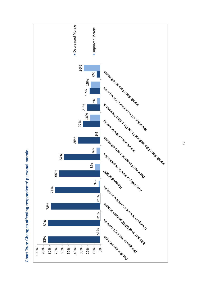

**Chart Two: Changes affecting respondents' personal morale**  Chart Two: Changes affecting respondents' personal morale 17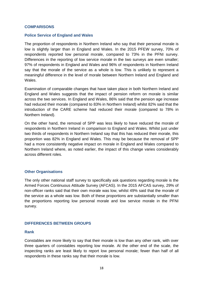#### **COMPARISONS**

#### **Police Service of England and Wales**

The proportion of respondents in Northern Ireland who say that their personal morale is low is slightly larger than in England and Wales. In the 2015 PFEW survey, 70% of respondents reported low personal morale, compared to 73% in the PFNI survey. Differences in the reporting of low service morale in the two surveys are even smaller; 97% of respondents in England and Wales and 96% of respondents in Northern Ireland say that the morale of the service as a whole is low. This is unlikely to represent a meaningful difference in the level of morale between Northern Ireland and England and Wales.

Examination of comparable changes that have taken place in both Northern Ireland and England and Wales suggests that the impact of pension reform on morale is similar across the two services. In England and Wales, 86% said that the pension age increase had reduced their morale (compared to 83% in Northern Ireland) whilst 82% said that the introduction of the CARE scheme had reduced their morale (compared to 78% in Northern Ireland).

On the other hand, the removal of SPP was less likely to have reduced the morale of respondents in Northern Ireland in comparison to England and Wales. Whilst just under two thirds of respondents in Northern Ireland say that this has reduced their morale, this proportion was 82% in England and Wales. This may be because the removal of SPP had a more consistently negative impact on morale in England and Wales compared to Northern Ireland where, as noted earlier, the impact of this change varies considerably across different roles.

#### **Other Organisations**

The only other national staff survey to specifically ask questions regarding morale is the Armed Forces Continuous Attitude Survey (AFCAS). In the 2015 AFCAS survey, 29% of non-officer ranks said that their own morale was low, whilst 49% said that the morale of the service as a whole was low. Both of these proportions are substantially smaller than the proportions reporting low personal morale and low service morale in the PFNI survey.

#### **DIFFERENCES BETWEEN GROUPS**

#### **Rank**

Constables are more likely to say that their morale is low than any other rank, with over three quarters of constables reporting low morale. At the other end of the scale, the inspecting ranks are least likely to report low personal morale; fewer than half of all respondents in these ranks say that their morale is low.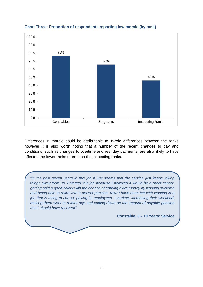

# **Chart Three: Proportion of respondents reporting low morale (by rank)**

Differences in morale could be attributable to in-role differences between the ranks however it is also worth noting that a number of the recent changes to pay and conditions, such as changes to overtime and rest day payments, are also likely to have affected the lower ranks more than the inspecting ranks.

"In the past seven years in this job it just seems that the service just keeps taking things away from us. I started this job because I believed it would be a great career, getting paid a good salary with the chance of earning extra money by working overtime and being able to retire with a decent pension. Now I have been left with working in a job that is trying to cut out paying its employees overtime, increasing their workload, making them work to a later age and cutting down on the amount of payable pension that I should have received".

**Constable, 6 – 10 Years' Service**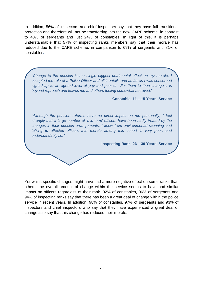In addition, 56% of inspectors and chief inspectors say that they have full transitional protection and therefore will not be transferring into the new CARE scheme, in contrast to 48% of sergeants and just 24% of constables. In light of this, it is perhaps understandable that 57% of inspecting ranks members say that their morale has reduced due to the CARE scheme, in comparison to 69% of sergeants and 81% of constables**.** 

"Change to the pension is the single biggest detrimental effect on my morale. I accepted the role of a Police Officer and all it entails and as far as I was concerned signed up to an agreed level of pay and pension. For them to then change it is beyond reproach and leaves me and others feeling somewhat betrayed."

**Constable, 11 – 15 Years' Service** 

"Although the pension reforms have no direct impact on me personally, I feel strongly that a large number of 'mid-term' officers have been badly treated by the changes in their pension arrangements. I know from environmental scanning and talking to affected officers that morale among this cohort is very poor, and understandably so."

**Inspecting Rank, 26 – 30 Years' Service** 

Yet whilst specific changes might have had a more negative effect on some ranks than others, the overall amount of change within the service seems to have had similar impact on officers regardless of their rank. 92% of constables, 96% of sergeants and 94% of inspecting ranks say that there has been a great deal of change within the police service in recent years. In addition, 98% of constables, 97% of sergeants and 93% of inspectors and chief inspectors who say that they have experienced a great deal of change also say that this change has reduced their morale.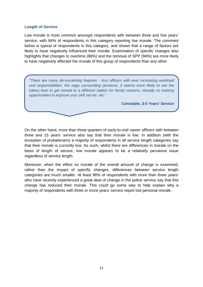#### **Length of Service**

Low morale is most common amongst respondents with between three and five years' service, with 84% of respondents in this category reporting low morale. The comment below is typical of respondents in this category, and shows that a range of factors are likely to have negatively influenced their morale. Examination of specific changes also highlights that changes to overtime (86%) and the removal of SPP (94%) are more likely to have negatively affected the morale of this group of respondents than any other.

"There are many de-moralising features - less officers with ever increasing workload and responsibilities, the saga surrounding pensions, it seems more likely to win the lottery than to get moved to a different station for family reasons, virtually no training opportunities to improve your skill set etc. etc."

**Constable, 3-5 Years' Service** 

On the other hand, more than three quarters of early-to-mid career officers with between three and 15 years' service also say that their morale is low. In addition (with the exception of probationers) a majority of respondents in all service length categories say that their morale is currently low. As such, whilst there are differences in morale on the basis of length of service, low morale appears to be a relatively pervasive issue regardless of service length.

Moreover, when the effect on morale of the overall amount of change is examined, rather than the impact of specific changes, differences between service length categories are much smaller. At least 96% of respondents with more than three years' who have recently experienced a great deal of change in the police service say that this change has reduced their morale. This could go some way to help explain why a majority of respondents with three or more years' service report low personal morale.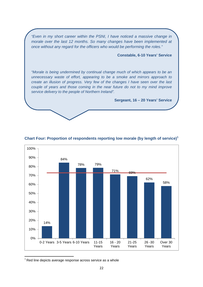"Even in my short career within the PSNI, I have noticed a massive change in morale over the last 12 months. So many changes have been implemented at once without any regard for the officers who would be performing the roles."

**Constable, 6-10 Years' Service** 

"Morale is being undermined by continual change much of which appears to be an unnecessary waste of effort, appearing to be a smoke and mirrors approach to create an illusion of progress. Very few of the changes I have seen over the last couple of years and those coming in the near future do not to my mind improve service delivery to the people of Northern Ireland".

**Sergeant, 16 – 20 Years' Service** 



#### **Chart Four: Proportion of respondents reporting low morale (by length of service)<sup>1</sup>**

 $1$  Red line depicts average response across service as a whole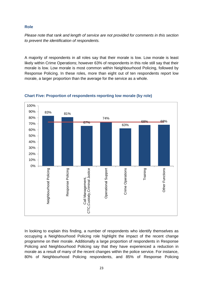# **Role**

Please note that rank and length of service are not provided for comments in this section to prevent the identification of respondents.

A majority of respondents in all roles say that their morale is low. Low morale is least likely within Crime Operations; however 63% of respondents in this role still say that their morale is low. Low morale is most common within Neighbourhood Policing, followed by Response Policing. In these roles, more than eight out of ten respondents report low morale, a larger proportion than the average for the service as a whole.



# **Chart Five: Proportion of respondents reporting low morale (by role)**

In looking to explain this finding, a number of respondents who identify themselves as occupying a Neighbourhood Policing role highlight the impact of the recent change programme on their morale. Additionally a large proportion of respondents in Response Policing and Neighbourhood Policing say that they have experienced a reduction in morale as a result of many of the recent changes within the police service. For instance, 80% of Neighbourhood Policing respondents, and 85% of Response Policing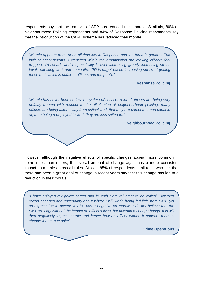respondents say that the removal of SPP has reduced their morale. Similarly, 80% of Neighbourhood Policing respondents and 84% of Response Policing respondents say that the introduction of the CARE scheme has reduced their morale.

"Morale appears to be at an all-time low in Response and the force in general. The lack of secondments & transfers within the organisation are making officers feel trapped. Workloads and responsibility is ever increasing greatly increasing stress levels effecting work and home life. IPR is target based increasing stress of getting these met, which is unfair to officers and the public"

**Response Policing** 

"Morale has never been so low in my time of service. A lot of officers are being very unfairly treated with respect to the elimination of neighbourhood policing, many officers are being taken away from critical work that they are competent and capable at, then being redeployed to work they are less suited to."

**Neighbourhood Policing** 

However although the negative effects of specific changes appear more common in some roles than others, the overall amount of change again has a more consistent impact on morale across all roles. At least 95% of respondents in all roles who feel that there had been a great deal of change in recent years say that this change has led to a reduction in their morale.

"I have enjoyed my police career and in truth I am reluctant to be critical. However recent changes and uncertainty about where I will work, being fed little from SMT, yet an expectation to accept 'my lot' has a negative on morale. I do not believe that the SMT are cognisant of the impact on officer's lives that unwanted change brings, this will then negatively impact morale and hence how an officer works. It appears there is change for change sake"

**Crime Operations**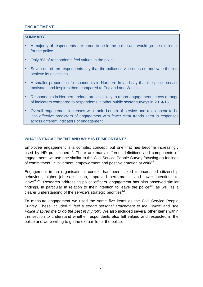# **ENGAGEMENT**

## **SUMMARY**

- A majority of respondents are proud to be in the police and would go the extra mile for the police.
- Only 8% of respondents feel valued in the police.
- Seven out of ten respondents say that the police service does not motivate them to achieve its objectives.
- A smaller proportion of respondents in Northern Ireland say that the police service motivates and inspires them compared to England and Wales.
- Respondents in Northern Ireland are less likely to report engagement across a range of indicators compared to respondents in other public sector surveys in 2014/15.
- Overall engagement increases with rank. Length of service and role appear to be less effective predictors of engagement with fewer clear trends seen in responses across different indicators of engagement.

# **WHAT IS ENGAGEMENT AND WHY IS IT IMPORTANT?**

Employee engagement is a complex concept, but one that has become increasingly used by HR practitioners<sup>xii</sup>. There are many different definitions and components of engagement, we use one similar to the Civil Service People Survey focusing on feelings of commitment, involvement, empowerment and positive emotion at work<sup>xiii</sup>.

Engagement in an organisational context has been linked to increased citizenship behaviour, higher job satisfaction, improved performance and lower intentions to leave<sup>xiv,xv</sup>. Research addressing police officers' engagement has also observed similar findings, in particular in relation to their intention to leave the police<sup>xvi</sup>, as well as a clearer understanding of the service's strategic priorities<sup>xvii</sup>.

To measure engagement we used the same five items as the Civil Service People Survey. These included "I feel a strong personal attachment to the Police" and "the Police inspires me to do the best in my job". We also included several other items within this section to understand whether respondents also felt valued and respected in the police and were willing to go the extra mile for the police.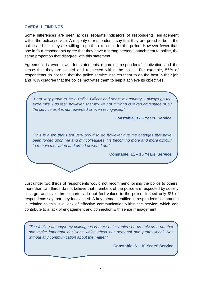#### **OVERALL FINDINGS**

Some differences are seen across separate indicators of respondents' engagement within the police service. A majority of respondents say that they are proud to be in the police and that they are willing to go the extra mile for the police. However fewer than one in four respondents agree that they have a strong personal attachment to police, the same proportion that disagree with this statement.

Agreement is even lower for statements regarding respondents' motivation and the sense that they are valued and respected within the police. For example, 55% of respondents do not feel that the police service inspires them to do the best in their job and 70% disagree that the police motivates them to help it achieve its objectives.



Just under two thirds of respondents would not recommend joining the police to others, more than two thirds do not believe that members of the police are respected by society at large, and over three quarters do not feel valued in the police. Indeed only 8% of respondents say that they feel valued. A key theme identified in respondents' comments in relation to this is a lack of effective communication within the service, which can contribute to a lack of engagement and connection with senior management.

"The feeling amongst my colleagues is that senior ranks see us only as a number and make important decisions which affect our personal and professional lives without any communication about the matter."

**Constable, 6 – 10 Years' Service**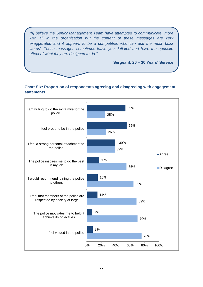"[I] believe the Senior Management Team have attempted to communicate more with all in the organisation but the content of these messages are very exaggerated and it appears to be a competition who can use the most 'buzz words'. These messages sometimes leave you deflated and have the opposite effect of what they are designed to do."

**Sergeant, 26 – 30 Years' Service** 

# **Chart Six: Proportion of respondents agreeing and disagreeing with engagement statements**

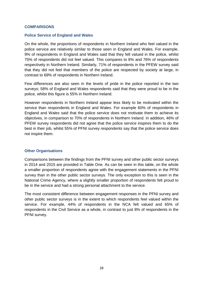#### **COMPARISONS**

#### **Police Service of England and Wales**

On the whole, the proportions of respondents in Northern Ireland who feel valued in the police service are relatively similar to those seen in England and Wales. For example, 9% of respondents in England and Wales said that they felt valued in the police, whilst 75% of respondents did not feel valued. This compares to 8% and 76% of respondents respectively in Northern Ireland. Similarly, 71% of respondents in the PFEW survey said that they did not feel that members of the police are respected by society at large, in contrast to 69% of respondents in Northern Ireland.

Few differences are also seen in the levels of pride in the police reported in the two surveys; 58% of England and Wales respondents said that they were proud to be in the police, whilst this figure is 55% in Northern Ireland.

However respondents in Northern Ireland appear less likely to be motivated within the service than respondents in England and Wales. For example 60% of respondents in England and Wales said that the police service does not motivate them to achieve its objectives, in comparison to 70% of respondents in Northern Ireland. In addition, 46% of PFEW survey respondents did not agree that the police service inspires them to do the best in their job, whilst 55% of PFNI survey respondents say that the police service does not inspire them.

#### **Other Organisations**

Comparisons between the findings from the PFNI survey and other public sector surveys in 2014 and 2015 are provided in Table One. As can be seen in this table, on the whole a smaller proportion of respondents agree with the engagement statements in the PFNI survey than in the other public sector surveys. The only exception to this is seen in the National Crime Agency, where a slightly smaller proportion of respondents felt proud to be in the service and had a strong personal attachment to the service.

The most consistent difference between engagement responses in the PFNI survey and other public sector surveys is in the extent to which respondents feel valued within the service. For example, 44% of respondents in the NCA felt valued and 65% of respondents in the Civil Service as a whole, in contrast to just 8% of respondents in the PFNI survey.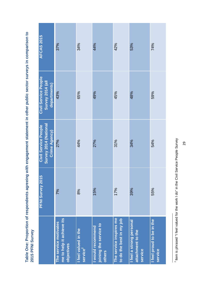| The service inspires me<br>me to help it achieve its<br>to do the best in my job<br>I feel a strong personal<br>The service motivates<br>joining the service to<br>would recommend<br><b>I</b> feel valued in the<br>attachment to the<br><b>Andalunial Principal</b><br>objectives<br>service <sup>2</sup><br>others | I feel proud to be in the |
|-----------------------------------------------------------------------------------------------------------------------------------------------------------------------------------------------------------------------------------------------------------------------------------------------------------------------|---------------------------|
| PFNI Survey 2015<br>39%<br>15%<br>17%<br>7%<br>8%                                                                                                                                                                                                                                                                     | 55%                       |
| Survey 2014 (National<br><b>Civil Service People</b><br>Crime Agency)<br>27%<br>44%<br>31%<br>27%<br>34%                                                                                                                                                                                                              | 54%                       |
| Civil Service People<br>Survey 2014 (all<br>departments)<br>43%<br>65%<br>49%<br>45%<br>48%                                                                                                                                                                                                                           | 59%                       |
| <b>AFCAS 2015</b><br>37%<br>34%<br>44%<br>42%<br>53%                                                                                                                                                                                                                                                                  | 74%                       |

**Table One: Proportion of respondents agreeing with engagement statement in other public sector surveys in comparison to**  Table One: Proportion of respondents agreeing with engagement statement in other public sector surveys in comparison to 2015 PFNI Survey **2015 PFNI Survey** 

<sup>&</sup>lt;sup>2</sup> Item is phrased "I feel valued for the work I do" in the Civil Service People Survey Item is phrased "I feel valued for the work I do" in the Civil Service People Survey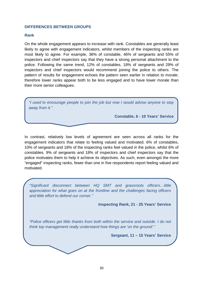#### **DIFFERENCES BETWEEN GROUPS**

#### **Rank**

On the whole engagement appears to increase with rank. Constables are generally least likely to agree with engagement indicators, whilst members of the inspecting ranks are most likely to agree. For example, 36% of constable, 46% of sergeants and 55% of inspectors and chief inspectors say that they have a strong personal attachment to the police. Following the same trend, 12% of constables, 18% of sergeants and 29% of inspectors and chief inspectors would recommend joining the police to others. The pattern of results for engagement echoes the pattern seen earlier in relation to morale; therefore lower ranks appear both to be less engaged and to have lower morale than their more senior colleagues.

| "I used to encourage people to join the job but now I would advise anyone to stay |
|-----------------------------------------------------------------------------------|
| away from it."                                                                    |

**Constable, 6 - 10 Years' Service** 

In contrast, relatively low levels of agreement are seen across all ranks for the engagement indicators that relate to feeling valued and motivated. 6% of constables, 10% of sergeants and 18% of the inspecting ranks feel valued in the police, whilst 6% of constables, 9% of sergeants and 18% of inspectors and chief inspectors say that the police motivates them to help it achieve its objectives. As such, even amongst the more "engaged" inspecting ranks, fewer than one in five respondents report feeling valued and motivated.

"Significant disconnect between HQ SMT and grassroots officers…little appreciation for what goes on at the frontline and the challenges facing officers and little effort to defend our corner."

**Inspecting Rank, 21 - 25 Years' Service** 

"Police officers get little thanks from both within the service and outside. I do not think top management really understand how things are 'on the ground'."

**Sergeant, 11 – 15 Years' Service**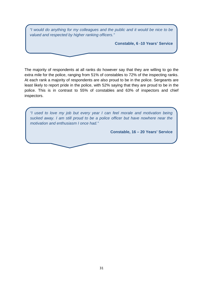"I would do anything for my colleagues and the public and it would be nice to be valued and respected by higher ranking officers."

**Constable, 6 -10 Years' Service** 

The majority of respondents at all ranks do however say that they are willing to go the extra mile for the police, ranging from 51% of constables to 72% of the inspecting ranks. At each rank a majority of respondents are also proud to be in the police. Sergeants are least likely to report pride in the police, with 52% saying that they are proud to be in the police. This is in contrast to 55% of constables and 63% of inspectors and chief inspectors.

"I used to love my job but every year I can feel morale and motivation being sucked away. I am still proud to be a police officer but have nowhere near the motivation and enthusiasm I once had."

**Constable, 16 – 20 Years' Service**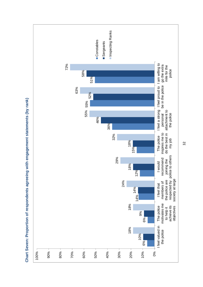

**Chart Seven: Proportion of respondents agreeing with engagement statements (by rank)**  Chart Seven: Proportion of respondents agreeing with engagement statements (by rank)

32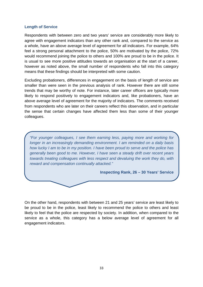#### **Length of Service**

Respondents with between zero and two years' service are considerably more likely to agree with engagement indicators than any other rank and, compared to the service as a whole, have an above average level of agreement for all indicators. For example, 64% feel a strong personal attachment to the police, 50% are motivated by the police, 72% would recommend joining the police to others and 100% are proud to be in the police. It is usual to see more positive attitudes towards an organisation at the start of a career, however as noted above, the small number of respondents who fall into this category means that these findings should be interpreted with some caution.

Excluding probationers, differences in engagement on the basis of length of service are smaller than were seen in the previous analysis of rank. However there are still some trends that may be worthy of note. For instance, later career officers are typically more likely to respond positively to engagement indicators and, like probationers, have an above average level of agreement for the majority of indicators. The comments received from respondents who are later on their careers reflect this observation, and in particular the sense that certain changes have affected them less than some of their younger colleagues.

"For younger colleagues, I see them earning less, paying more and working for longer in an increasingly demanding environment. I am reminded on a daily basis how lucky I am to be in my position. I have been proud to serve and the police has generally been good to me. However, I have seen a steady drift over recent years towards treating colleagues with less respect and devaluing the work they do, with reward and compensation continually attacked."

**Inspecting Rank, 26 – 30 Years' Service** 

On the other hand, respondents with between 21 and 25 years' service are least likely to be proud to be in the police, least likely to recommend the police to others and least likely to feel that the police are respected by society. In addition, when compared to the service as a whole, this category has a below average level of agreement for all engagement indicators.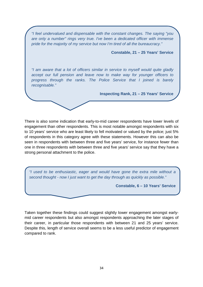"I feel undervalued and dispensable with the constant changes. The saying "you are only a number" rings very true. I've been a dedicated officer with immense pride for the majority of my service but now I'm tired of all the bureaucracy."

**Constable, 21 – 25 Years' Service** 

"I am aware that a lot of officers similar in service to myself would quite gladly accept our full pension and leave now to make way for younger officers to progress through the ranks. The Police Service that I joined is barely recognisable."

**Inspecting Rank, 21 – 25 Years' Service**

There is also some indication that early-to-mid career respondents have lower levels of engagement than other respondents. This is most notable amongst respondents with six to 10 years' service who are least likely to fell motivated or valued by the police; just 5% of respondents in this category agree with these statements. However this can also be seen in respondents with between three and five years' service, for instance fewer than one in three respondents with between three and five years' service say that they have a strong personal attachment to the police.

"I used to be enthusiastic, eager and would have gone the extra mile without a second thought - now I just want to get the day through as quickly as possible."

**Constable, 6 – 10 Years' Service** 

Taken together these findings could suggest slightly lower engagement amongst earlymid career respondents but also amongst respondents approaching the later stages of their career, in particular those respondents with between 21 and 25 years' service. Despite this, length of service overall seems to be a less useful predictor of engagement compared to rank.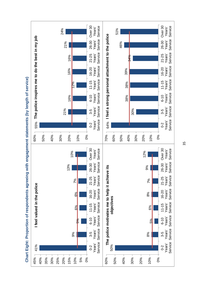

**Chart Eight: Proportion of respondents agreeing with engagement statements (by length of service)**  Chart Eight: Proportion of respondents agreeing with engagement statements (by length of service)

35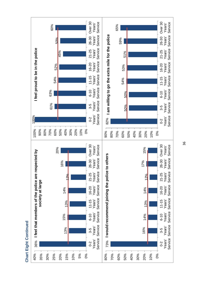

**Chart Eight Continued Chart Eight Continued**  36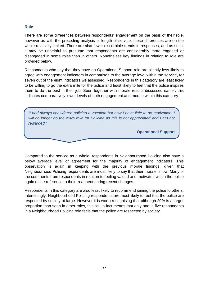# **Role**

There are some differences between respondents' engagement on the basis of their role, however as with the preceding analysis of length of service, these differences are on the whole relatively limited. There are also fewer discernible trends in responses, and as such, it may be unhelpful to presume that respondents are considerably more engaged or disengaged in some roles than in others. Nonetheless key findings in relation to role are provided below.

Respondents who say that they have an Operational Support role are slightly less likely to agree with engagement indicators in comparison to the average level within the service, for seven out of the eight indicators we assessed. Respondents in this category are least likely to be willing to go the extra mile for the police and least likely to feel that the police inspires them to do the best in their job. Seen together with morale results discussed earlier, this indicates comparatively lower levels of both engagement and morale within this category.

"I had always considered policing a vocation but now I have little to no motivation. I will no longer go the extra mile for Policing as this is not appreciated and I am not rewarded."

**Operational Support** 

Compared to the service as a whole, respondents in Neighbourhood Policing also have a below average level of agreement for the majority of engagement indicators. This observation is again in keeping with the previous morale findings, given that Neighbourhood Policing respondents are most likely to say that their morale is low. Many of the comments from respondents in relation to feeling valued and motivated within the police again make reference to their treatment during recent changes.

Respondents in this category are also least likely to recommend joining the police to others. Interestingly, Neighbourhood Policing respondents are most likely to feel that the police are respected by society at large. However it is worth recognising that although 20% is a larger proportion than seen in other roles, this still in fact means that only one in five respondents in a Neighbourhood Policing role feels that the police are respected by society.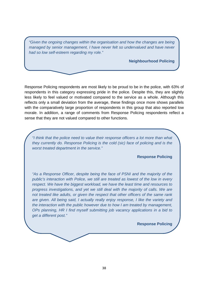"Given the ongoing changes within the organisation and how the changes are being managed by senior management, I have never felt so undervalued and have never had so low self-esteem regarding my role."

#### **Neighbourhood Policing**

Response Policing respondents are most likely to be proud to be in the police, with 63% of respondents in this category expressing pride in the police. Despite this, they are slightly less likely to feel valued or motivated compared to the service as a whole. Although this reflects only a small deviation from the average, these findings once more shows parallels with the comparatively large proportion of respondents in this group that also reported low morale. In addition, a range of comments from Response Policing respondents reflect a sense that they are not valued compared to other functions.

"I think that the police need to value their response officers a lot more than what they currently do. Response Policing is the cold (sic) face of policing and is the worst treated department in the service."

### **Response Policing**

"As a Response Officer, despite being the face of PSNI and the majority of the public's interaction with Police, we still are treated as lowest of the low in every respect. We have the biggest workload, we have the least time and resources to progress investigations, and yet we still deal with the majority of calls. We are not treated like adults, or given the respect that other officers of the same rank are given. All being said, I actually really enjoy response, I like the variety and the interaction with the public however due to how I am treated by management, OPs planning, HR I find myself submitting job vacancy applications in a bid to get a different post."

**Response Policing**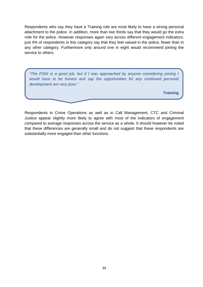Respondents who say they have a Training role are most likely to have a strong personal attachment to the police. In addition, more than two thirds say that they would go the extra mile for the police. However responses again vary across different engagement indicators; just 4% of respondents in this category say that they feel valued in the police, fewer than in any other category. Furthermore only around one in eight would recommend joining the service to others.

"The PSNI is a good job, but if I was approached by anyone considering joining I would have to be honest and say the opportunities for any continued personal development are very poor."

**Training** 

Respondents in Crime Operations as well as in Call Management, CTC and Criminal Justice appear slightly more likely to agree with most of the indicators of engagement compared to average responses across the service as a whole. It should however be noted that these differences are generally small and do not suggest that these respondents are substantially more engaged than other functions.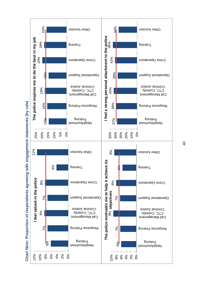

 **Chart Nine: Proportion of respondents agreeing with engagement statements (by role)** Chart Nine: Proportion of respondents agreeing with engagement statements (by role)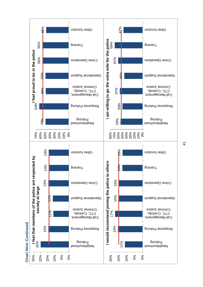

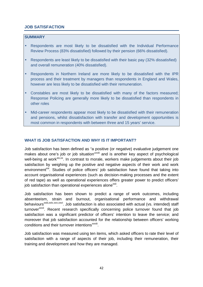# **JOB SATISFACTION**

### **SUMMARY**

- Respondents are most likely to be dissatisfied with the Individual Performance Review Process (83% dissatisfied) followed by their pension (66% dissatisfied).
- Respondents are least likely to be dissatisfied with their basic pay (32% dissatisfied) and overall remuneration (40% dissatisfied).
- Respondents in Northern Ireland are more likely to be dissatisfied with the IPR process and their treatment by managers than respondents in England and Wales, however are less likely to be dissatisfied with their remuneration.
- Constables are most likely to be dissatisfied with many of the factors measured; Response Policing are generally more likely to be dissatisfied than respondents in other roles
- Mid-career respondents appear most likely to be dissatisfied with their remuneration and pensions, whilst dissatisfaction with transfer and development opportunities is most common in respondents with between three and 15 years' service.

# **WHAT IS JOB SATISFACTION AND WHY IS IT IMPORTANT?**

Job satisfaction has been defined as "a positive (or negative) evaluative judgement one makes about one's job or job situation"xviii and is another key aspect of psychological well-being at work<sup>xix,xx</sup>. In contrast to morale, workers make judgements about their job satisfaction by weighing up the positive and negative aspects of their work and work environment<sup>xxi</sup>. Studies of police officers' job satisfaction have found that taking into account organisational experiences (such as decision-making processes and the extent of red tape) as well as operational experiences offers greater power to predict officers' job satisfaction than operational experiences alone<sup>xxii</sup>.

Job satisfaction has been shown to predict a range of work outcomes, including absenteeism, strain and burnout, organisational performance and withdrawal behaviours<sup>xxiii,xxiv,xxv,xxvi</sup>. Job satisfaction is also associated with actual (vs. intended) staff turnover<sup>xxvii</sup>. Recent research specifically concerning police turnover found that job satisfaction was a significant predictor of officers' intention to leave the service; and moreover that job satisfaction accounted for the relationship between officers' working conditions and their turnover intentions<sup>xxviii</sup>.

Job satisfaction was measured using ten items, which asked officers to rate their level of satisfaction with a range of aspects of their job, including their remuneration, their training and development and how they are managed.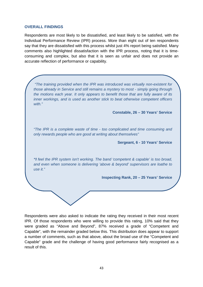#### **OVERALL FINDINGS**

Respondents are most likely to be dissatisfied, and least likely to be satisfied, with the Individual Performance Review (IPR) process. More than eight out of ten respondents say that they are dissatisfied with this process whilst just 4% report being satisfied. Many comments also highlighted dissatisfaction with the IPR process, noting that it is timeconsuming and complex, but also that it is seen as unfair and does not provide an accurate reflection of performance or capability.

 "The training provided when the IPR was introduced was virtually non-existent for those already in Service and still remains a mystery to most - simply going through the motions each year. It only appears to benefit those that are fully aware of its inner workings, and is used as another stick to beat otherwise competent officers with."

**Constable, 26 – 30 Years' Service** 

"The IPR is a complete waste of time - too complicated and time consuming and only rewards people who are good at writing about themselves"

**Sergeant, 6 - 10 Years' Service** 

**"I** feel the IPR system isn't working. The band 'competent & capable' is too broad, and even when someone is delivering 'above & beyond' supervisors are loathe to use it."

**Inspecting Rank, 20 – 25 Years' Service** 

Respondents were also asked to indicate the rating they received in their most recent IPR. Of those respondents who were willing to provide this rating, 10% said that they were graded as "Above and Beyond", 87% received a grade of "Competent and Capable", with the remainder graded below this. This distribution does appear to support a number of comments, such as that above, about the broad use of the "Competent and Capable" grade and the challenge of having good performance fairly recognised as a result of this.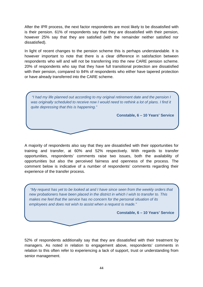After the IPR process, the next factor respondents are most likely to be dissatisfied with is their pension. 61% of respondents say that they are dissatisfied with their pension, however 25% say that they are satisfied (with the remainder neither satisfied nor dissatisfied).

In light of recent changes to the pension scheme this is perhaps understandable. It is however important to note that there is a clear difference in satisfaction between respondents who will and will not be transferring into the new CARE pension scheme. 20% of respondents who say that they have full transitional protection are dissatisfied with their pension, compared to 84% of respondents who either have tapered protection or have already transferred into the CARE scheme.



A majority of respondents also say that they are dissatisfied with their opportunities for training and transfer, at 60% and 52% respectively. With regards to transfer opportunities, respondents' comments raise two issues, both the availability of opportunities but also the perceived fairness and openness of the process. The comment below is indicative of a number of respondents' comments regarding their experience of the transfer process.

 "My request has yet to be looked at and I have since seen from the weekly orders that new probationers have been placed in the district in which I wish to transfer to. This makes me feel that the service has no concern for the personal situation of its employees and does not wish to assist when a request is made."

**Constable, 6 – 10 Years' Service** 

52% of respondents additionally say that they are dissatisfied with their treatment by managers. As noted in relation to engagement above, respondents' comments in relation to this often refer to experiencing a lack of support, trust or understanding from senior management.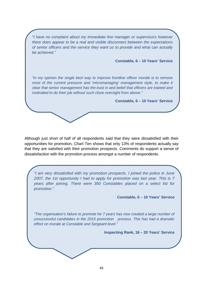"I have no complaint about my immediate line manager or supervisors however there does appear to be a real and visible disconnect between the expectations of senior officers and the service they want us to provide and what can actually be achieved."

**Constable, 6 – 10 Years' Service** 

"In my opinion the single best way to improve frontline officer morale is to remove most of the current pressure and 'micromanaging' management style, to make it clear that senior management has the trust in and belief that officers are trained and motivated to do their job without such close oversight from above."

**Constable, 6 – 10 Years' Service** 

Although just short of half of all respondents said that they were dissatisfied with their opportunities for promotion, Chart Ten shows that only 13% of respondents actually say that they are satisfied with their promotion prospects. Comments do support a sense of dissatisfaction with the promotion process amongst a number of respondents.

"I am very dissatisfied with my promotion prospects. I joined the police in June 2007, the 1st opportunity I had to apply for promotion was last year. This is 7 years after joining. There were 350 Constables placed on a select list for promotion."

**Constable, 6 – 10 Years' Service** 

"The organisation's failure to promote for 7 years has now created a large number of unsuccessful candidates in the 2015 promotion process. This has had a dramatic effect on morale at Constable and Sergeant level."

**Inspecting Rank, 16 – 20 Years' Service**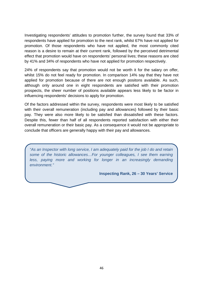Investigating respondents' attitudes to promotion further, the survey found that 33% of respondents have applied for promotion to the next rank, whilst 67% have not applied for promotion. Of those respondents who have not applied, the most commonly cited reason is a desire to remain at their current rank, followed by the perceived detrimental effect that promotion would have on respondents' personal lives; these reasons are cited by 41% and 34% of respondents who have not applied for promotion respectively.

24% of respondents say that promotion would not be worth it for the salary on offer, whilst 15% do not feel ready for promotion. In comparison 14% say that they have not applied for promotion because of there are not enough positons available. As such, although only around one in eight respondents are satisfied with their promotion prospects, the sheer number of positions available appears less likely to be factor in influencing respondents' decisions to apply for promotion.

Of the factors addressed within the survey, respondents were most likely to be satisfied with their overall remuneration (including pay and allowances) followed by their basic pay. They were also more likely to be satisfied than dissatisfied with these factors. Despite this, fewer than half of all respondents reported satisfaction with either their overall remuneration or their basic pay. As a consequence it would not be appropriate to conclude that officers are generally happy with their pay and allowances.

"As an Inspector with long service, I am adequately paid for the job I do and retain some of the historic allowances…For younger colleagues, I see them earning less, paying more and working for longer in an increasingly demanding environment."

**Inspecting Rank, 26 – 30 Years' Service**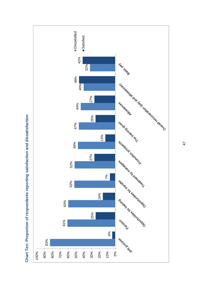

**Chart Ten: Proportion of respondents reporting satisfaction and dissatisfaction**  Chart Ten: Proportion of respondents reporting satisfaction and dissatisfaction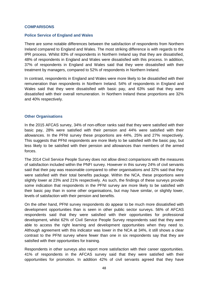#### **COMPARISONS**

#### **Police Service of England and Wales**

There are some notable differences between the satisfaction of respondents from Northern Ireland compared to England and Wales. The most striking difference is with regards to the IPR process. Whilst 83% of respondents in Northern Ireland say that they are dissatisfied, 48% of respondents in England and Wales were dissatisfied with this process. In addition, 37% of respondents in England and Wales said that they were dissatisfied with their treatment by managers, compared to 52% of respondents in Northern Ireland.

In contrast, respondents in England and Wales were more likely to be dissatisfied with their remuneration than respondents in Northern Ireland. 54% of respondents in England and Wales said that they were dissatisfied with basic pay, and 63% said that they were dissatisfied with their overall remuneration. In Northern Ireland these proportions are 32% and 40% respectively.

#### **Other Organisations**

In the 2015 AFCAS survey, 34% of non-officer ranks said that they were satisfied with their basic pay, 28% were satisfied with their pension and 44% were satisfied with their allowances. In the PFNI survey these proportions are 44%, 25% and 27% respectively. This suggests that PFNI respondents are more likely to be satisfied with the basic pay, but less likely to be satisfied with their pension and allowances than members of the armed forces.

The 2014 Civil Service People Survey does not allow direct comparisons with the measures of satisfaction included within the PNFI survey. However in this survey 24% of civil servants said that their pay was reasonable compared to other organisations and 32% said that they were satisfied with their total benefits package. Within the NCA, these proportions were slightly lower at 23% and 21% respectively. As such, the findings of these surveys provide some indication that respondents in the PFNI survey are more likely to be satisfied with their basic pay than in some other organisations, but may have similar, or slightly lower, levels of satisfaction with their pension and benefits.

On the other hand, PFNI survey respondents do appear to be much more dissatisfied with development opportunities than is seen in other public sector surveys. 56% of AFCAS respondents said that they were satisfied with their opportunities for professional development, whilst 62% of Civil Service People Survey respondents said that they were able to access the right learning and development opportunities when they need to. Although agreement with this indicator was lower in the NCA at 34%, it still shows a clear contrast to the PFNI survey where fewer than one in six respondents say that they are satisfied with their opportunities for training.

Respondents in other surveys also report more satisfaction with their career opportunities. 41% of respondents in the AFCAS survey said that they were satisfied with their opportunities for promotion. In addition 42% of civil servants agreed that they have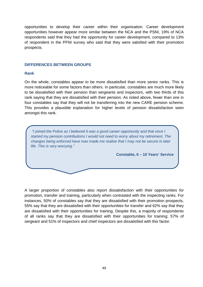opportunities to develop their career within their organisation. Career development opportunities however appear more similar between the NCA and the PSNI, 19% of NCA respondents said that they had the opportunity for career development, compared to 13% of respondent in the PFNI survey who said that they were satisfied with their promotion prospects.

## **DIFFERENCES BETWEEN GROUPS**

## **Rank**

On the whole, constables appear to be more dissatisfied than more senior ranks. This is more noticeable for some factors than others. In particular, constables are much more likely to be dissatisfied with their pension than sergeants and inspectors, with two thirds of this rank saying that they are dissatisfied with their pension. As noted above, fewer than one in four constables say that they will not be transferring into the new CARE pension scheme. This provides a plausible explanation for higher levels of pension dissatisfaction seen amongst this rank.

 "I joined the Police as I believed it was a good career opportunity and that once I started my pension contributions I would not need to worry about my retirement. The changes being enforced have now made me realise that I may not be secure in later life. This is very worrying."

**Constable, 6 – 10 Years' Service** 

A larger proportion of constables also report dissatisfaction with their opportunities for promotion, transfer and training, particularly when contrasted with the inspecting ranks. For instances, 50% of constables say that they are dissatisfied with their promotion prospects, 55% say that they are dissatisfied with their opportunities for transfer and 62% say that they are dissatisfied with their opportunities for training. Despite this, a majority of respondents of all ranks say that they are dissatisfied with their opportunities for training; 57% of sergeant and 51% of inspectors and chief inspectors are dissatisfied with this factor.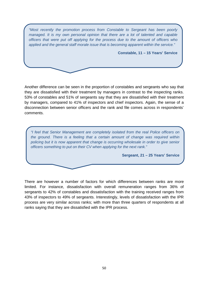"Most recently the promotion process from Constable to Sergeant has been poorly managed. It is my own personal opinion that there are a lot of talented and capable officers that were put off applying for the process due to the amount of officers who applied and the general staff morale issue that is becoming apparent within the service."

**Constable, 11 – 15 Years' Service** 

Another difference can be seen in the proportion of constables and sergeants who say that they are dissatisfied with their treatment by managers in contrast to the inspecting ranks. 53% of constables and 51% of sergeants say that they are dissatisfied with their treatment by managers, compared to 41% of inspectors and chief inspectors. Again, the sense of a disconnection between senior officers and the rank and file comes across in respondents' comments.

"I feel that Senior Management are completely isolated from the real Police officers on the ground. There is a feeling that a certain amount of change was required within policing but it is now apparent that change is occurring wholesale in order to give senior officers something to put on their CV when applying for the next rank."

**Sergeant, 21 – 25 Years' Service** 

There are however a number of factors for which differences between ranks are more limited. For instance, dissatisfaction with overall remuneration ranges from 36% of sergeants to 42% of constables and dissatisfaction with the training received ranges from 43% of inspectors to 49% of sergeants. Interestingly, levels of dissatisfaction with the IPR process are very similar across ranks; with more than three quarters of respondents at all ranks saying that they are dissatisfied with the IPR process.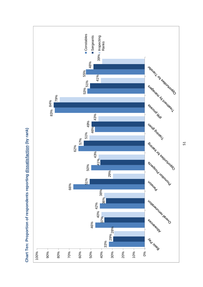

**Chart Ten: Proportion of respondents reporting dissatisfaction (by rank)**  Chart Ten: Proportion of respondents reporting dissatisfaction (by rank)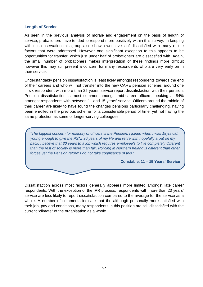#### **Length of Service**

As seen in the previous analysis of morale and engagement on the basis of length of service, probationers have tended to respond more positively within this survey. In keeping with this observation this group also show lower levels of dissatisfied with many of the factors that were addressed. However one significant exception to this appears to be opportunities for transfer, which just under half of probationers are dissatisfied with. Again, the small number of probationers makes interpretation of these findings more difficult however this may still present a concern for many respondents who are very early on in their service.

Understandably pension dissatisfaction is least likely amongst respondents towards the end of their careers and who will not transfer into the new CARE pension scheme; around one in six respondent with more than 25 years' service report dissatisfaction with their pension. Pension dissatisfaction is most common amongst mid-career officers, peaking at 84% amongst respondents with between 11 and 15 years' service. Officers around the middle of their career are likely to have found the changes pensions particularly challenging, having been enrolled in the previous scheme for a considerable period of time, yet not having the same protection as some of longer-serving colleagues.

"The biggest concern for majority of officers is the Pension. I joined when I was 18yrs old, young enough to give the PSNI 30 years of my life and retire with hopefully a pat on my back. I believe that 30 years to a job which requires employee's to live completely different than the rest of society is more than fair. Policing in Northern Ireland is different than other forces yet the Pension reforms do not take cognisance of this."

**Constable, 11 – 15 Years' Service** 

Dissatisfaction across most factors generally appears more limited amongst late career respondents. With the exception of the IPR process, respondents with more than 20 years' service are less likely to report dissatisfaction compared to the average for the service as a whole. A number of comments indicate that the although personally more satisfied with their job, pay and conditions, many respondents in this position are still dissatisfied with the current "climate" of the organisation as a whole.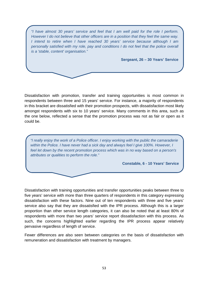"I have almost 30 years' service and feel that I am well paid for the role I perform. However I do not believe that other officers are in a position that they feel the same way. I intend to retire when I have reached 30 years' service because although I am personally satisfied with my role, pay and conditions I do not feel that the police overall is a 'stable, content' organisation."

**Sergeant, 26 – 30 Years' Service** 

Dissatisfaction with promotion, transfer and training opportunities is most common in respondents between three and 15 years' service. For instance, a majority of respondents in this bracket are dissatisfied with their promotion prospects, with dissatisfaction most likely amongst respondents with six to 10 years' service. Many comments in this area, such as the one below, reflected a sense that the promotion process was not as fair or open as it could be.

"I really enjoy the work of a Police officer. I enjoy working with the public the camaraderie within the Police. I have never had a sick day and always feel I give 100%. However, I feel let down by the recent promotion process which was in no way based on a person's attributes or qualities to perform the role."

**Constable, 6 - 10 Years' Service** 

Dissatisfaction with training opportunities and transfer opportunities peaks between three to five years' service with more than three quarters of respondents in this category expressing dissatisfaction with these factors. Nine out of ten respondents with three and five years' service also say that they are dissatisfied with the IPR process. Although this is a larger proportion than other service length categories, it can also be noted that at least 80% of respondents with more than two years' service report dissatisfaction with this process. As such, the concerns highlighted earlier regarding the IPR process appear relatively pervasive regardless of length of service.

Fewer differences are also seen between categories on the basis of dissatisfaction with remuneration and dissatisfaction with treatment by managers.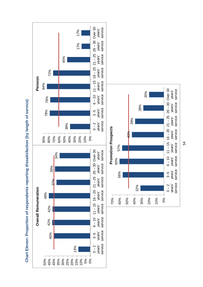

54

service

service

service

service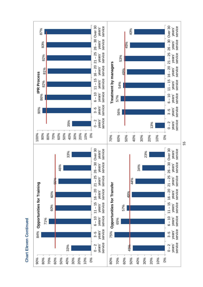

**Chart Eleven Continued Chart Eleven Continued**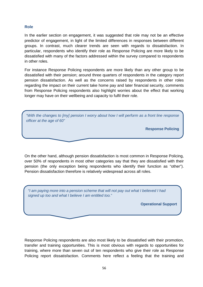# **Role**

In the earlier section on engagement, it was suggested that role may not be an effective predictor of engagement, in light of the limited differences in responses between different groups. In contrast, much clearer trends are seen with regards to dissatisfaction. In particular, respondents who identify their role as Response Policing are more likely to be dissatisfied with many of the factors addressed within the survey compared to respondents in other roles.

For instance Response Policing respondents are more likely than any other group to be dissatisfied with their pension; around three quarters of respondents in the category report pension dissatisfaction. As well as the concerns raised by respondents in other roles regarding the impact on their current take home pay and later financial security, comments from Response Policing respondents also highlight worries about the effect that working longer may have on their wellbeing and capacity to fulfil their role.

"With the changes to [my] pension I worry about how I will perform as a front line response officer at the age of 60"

**Response Policing** 

On the other hand, although pension dissatisfaction is most common in Response Policing, over 50% of respondents in most other categories say that they are dissatisfied with their pension (the only exception being respondents who identify their function as "other"). Pension dissatisfaction therefore is relatively widespread across all roles.

"I am paying more into a pension scheme that will not pay out what I believed I had signed up too and what I believe I am entitled too."

**Operational Support** 

Response Policing respondents are also most likely to be dissatisfied with their promotion, transfer and training opportunities. This is most obvious with regards to opportunities for training, where more than seven out of ten respondents who give their role as Response Policing report dissatisfaction. Comments here reflect a feeling that the training and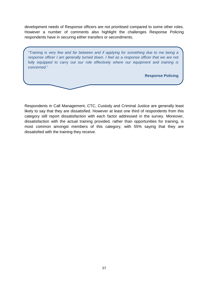development needs of Response officers are not prioritised compared to some other roles. However a number of comments also highlight the challenges Response Policing respondents have in securing either transfers or secondments.

"Training is very few and far between and if applying for something due to me being a response officer I am generally turned down. I feel as a response officer that we are not fully equipped to carry out our role effectively where our equipment and training is concerned."

## **Response Policing**

Respondents in Call Management, CTC, Custody and Criminal Justice are generally least likely to say that they are dissatisfied. However at least one third of respondents from this category still report dissatisfaction with each factor addressed in the survey. Moreover, dissatisfaction with the actual training provided, rather than opportunities for training, is most common amongst members of this category, with 55% saying that they are dissatisfied with the training they receive.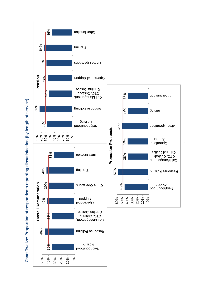



**Chart Twelve: Proportion of respondents reporting dissatisfaction (by length of service)** Chart Twelve: Proportion of respondents reporting dissatisfaction (by length of service)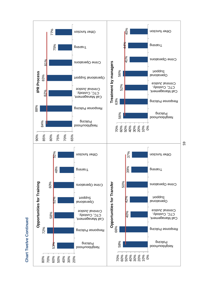

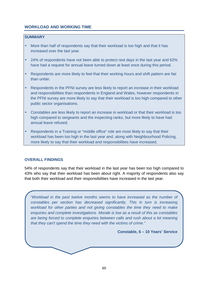# **WORKLOAD AND WORKING TIME**

# **SUMMARY**

- More than half of respondents say that their workload is too high and that it has increased over the last year.
- 24% of respondents have not been able to protect rest days in the last year and 62% have had a request for annual leave turned down at least once during this period.
- Respondents are more likely to feel that their working hours and shift pattern are fair than unfair.
- Respondents in the PFNI survey are less likely to report an increase in their workload and responsibilities than respondents in England and Wales, however respondents in the PFNI survey are more likely to say that their workload is too high compared to other public sector organisations.
- Constables are less likely to report an increase in workload or that their workload is too high compared to sergeants and the inspecting ranks, but more likely to have had annual leave refused.
- Respondents in a Training or "middle office" role are most likely to say that their workload has been too high in the last year and, along with Neighbourhood Policing, more likely to say that their workload and responsibilities have increased.

# **OVERALL FINDINGS**

54% of respondents say that their workload in the last year has been too high compared to 43% who say that their workload has been about right. A majority of respondents also say that both their workload and their responsibilities have increased in the last year.

"Workload in the past twelve months seems to have increased as the number of constables per section has decreased significantly. This in turn is increasing workload for other parties and not giving constables the time they need to make enquiries and complete investigations. Morale is low as a result of this as constables are being forced to complete enquiries between calls and rush about a lot meaning that they can't spend the time they need with the victims of crime."

**Constable, 6 – 10 Years' Service**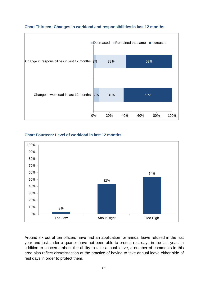

## **Chart Thirteen: Changes in workload and responsibilities in last 12 months**

# **Chart Fourteen: Level of workload in last 12 months**



Around six out of ten officers have had an application for annual leave refused in the last year and just under a quarter have not been able to protect rest days in the last year. In addition to concerns about the ability to take annual leave, a number of comments in this area also reflect dissatisfaction at the practice of having to take annual leave either side of rest days in order to protect them.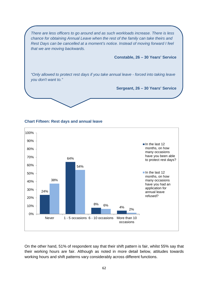There are less officers to go around and as such workloads increase. There is less chance for obtaining Annual Leave when the rest of the family can take theirs and Rest Days can be cancelled at a moment's notice. Instead of moving forward I feel that we are moving backwards.

**Constable, 26 – 30 Years' Service** 

"Only allowed to protect rest days if you take annual leave - forced into taking leave you don't want to."

**Sergeant, 26 – 30 Years' Service** 



#### **Chart Fifteen: Rest days and annual leave**

On the other hand, 51% of respondent say that their shift pattern is fair, whilst 55% say that their working hours are fair. Although as noted in more detail below, attitudes towards working hours and shift patterns vary considerably across different functions.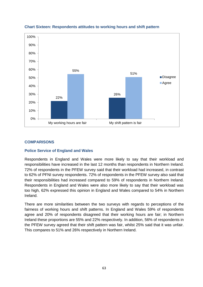

# **Chart Sixteen: Respondents attitudes to working hours and shift pattern**

# **COMPARISONS**

# **Police Service of England and Wales**

Respondents in England and Wales were more likely to say that their workload and responsibilities have increased in the last 12 months than respondents in Northern Ireland. 72% of respondents in the PFEW survey said that their workload had increased, in contrast to 62% of PFNI survey respondents. 72% of respondents in the PFEW survey also said that their responsibilities had increased compared to 59% of respondents in Northern Ireland. Respondents in England and Wales were also more likely to say that their workload was too high, 62% expressed this opinion in England and Wales compared to 54% in Northern Ireland.

There are more similarities between the two surveys with regards to perceptions of the fairness of working hours and shift patterns. In England and Wales 59% of respondents agree and 20% of respondents disagreed that their working hours are fair; in Northern Ireland these proportions are 55% and 22% respectively. In addition, 56% of respondents in the PFEW survey agreed that their shift pattern was fair, whilst 25% said that it was unfair. This compares to 51% and 26% respectively in Northern Ireland.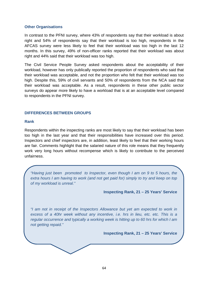#### **Other Organisations**

In contrast to the PFNI survey, where 43% of respondents say that their workload is about right and 54% of respondents say that their workload is too high, respondents in the AFCAS survey were less likely to feel that their workload was too high in the last 12 months. In this survey, 49% of non-officer ranks reported that their workload was about right and 44% said that their workload was too high.

The Civil Service People Survey asked respondents about the acceptability of their workload, however has only publically reported the proportion of respondents who said that their workload was acceptable, and not the proportion who felt that their workload was too high. Despite this, 59% of civil servants and 50% of respondents from the NCA said that their workload was acceptable. As a result, respondents in these other public sector surveys do appear more likely to have a workload that is at an acceptable level compared to respondents in the PFNI survey.

## **DIFFERENCES BETWEEN GROUPS**

#### **Rank**

Respondents within the inspecting ranks are most likely to say that their workload has been too high in the last year and that their responsibilities have increased over this period. Inspectors and chief inspectors are, in addition, least likely to feel that their working hours are fair. Comments highlight that the salaried nature of this role means that they frequently work very long hours without recompense which is likely to contribute to the perceived unfairness.

"Having just been promoted to Inspector, even though I am on 9 to 5 hours, the extra hours I am having to work (and not get paid for) simply to try and keep on top of my workload is unreal."

**Inspecting Rank, 21 – 25 Years' Service** 

"I am not in receipt of the Inspectors Allowance but yet am expected to work in excess of a 40hr week without any incentive, i.e. hrs in lieu, etc. etc. This is a regular occurrence and typically a working week is hitting up to 60 hrs for which I am not getting repaid."

**Inspecting Rank, 21 – 25 Years' Service**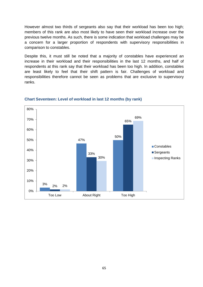However almost two thirds of sergeants also say that their workload has been too high; members of this rank are also most likely to have seen their workload increase over the previous twelve months. As such, there is some indication that workload challenges may be a concern for a larger proportion of respondents with supervisory responsibilities in comparison to constables.

Despite this, it must still be noted that a majority of constables have experienced an increase in their workload and their responsibilities in the last 12 months, and half of respondents at this rank say that their workload has been too high. In addition, constables are least likely to feel that their shift pattern is fair. Challenges of workload and responsibilities therefore cannot be seen as problems that are exclusive to supervisory ranks.



#### **Chart Seventeen: Level of workload in last 12 months (by rank)**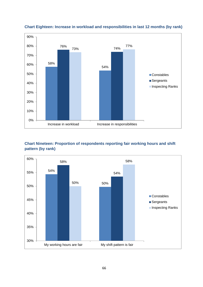

## **Chart Eighteen: Increase in workload and responsibilities in last 12 months (by rank)**

# **Chart Nineteen: Proportion of respondents reporting fair working hours and shift pattern (by rank)**

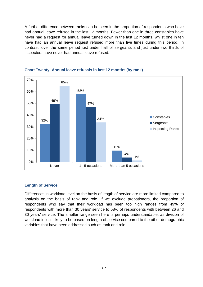A further difference between ranks can be seen in the proportion of respondents who have had annual leave refused in the last 12 months. Fewer than one in three constables have never had a request for annual leave turned down in the last 12 months, whilst one in ten have had an annual leave request refused more than five times during this period. In contrast, over the same period just under half of sergeants and just under two thirds of inspectors have never had annual leave refused.



# **Chart Twenty: Annual leave refusals in last 12 months (by rank)**

#### **Length of Service**

Differences in workload level on the basis of length of service are more limited compared to analysis on the basis of rank and role. If we exclude probationers, the proportion of respondents who say that their workload has been too high ranges from 49% of respondents with more than 30 years' service to 58% of respondents with between 26 and 30 years' service. The smaller range seen here is perhaps understandable, as division of workload is less likely to be based on length of service compared to the other demographic variables that have been addressed such as rank and role.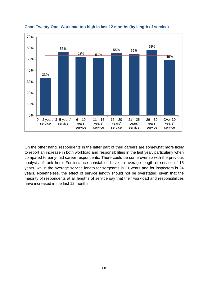

**Chart Twenty-One: Workload too high in last 12 months (by length of service)** 

On the other hand, respondents in the latter part of their careers are somewhat more likely to report an increase in both workload and responsibilities in the last year, particularly when compared to early-mid career respondents. There could be some overlap with the previous analysis of rank here. For instance constables have an average length of service of 15 years, whilst the average service length for sergeants is 21 years and for inspectors is 24 years. Nonetheless, the effect of service length should not be overstated, given that the majority of respondents at all lengths of service say that their workload and responsibilities have increased in the last 12 months.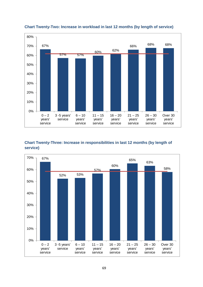

# **Chart Twenty-Two: Increase in workload in last 12 months (by length of service)**

# **Chart Twenty-Three: Increase in responsibilities in last 12 months (by length of service)**

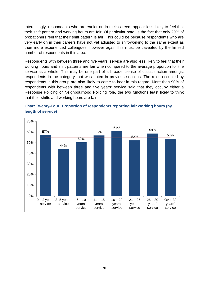Interestingly, respondents who are earlier on in their careers appear less likely to feel that their shift pattern and working hours are fair. Of particular note, is the fact that only 29% of probationers feel that their shift pattern is fair. This could be because respondents who are very early on in their careers have not yet adjusted to shift-working to the same extent as their more experienced colleagues; however again this must be caveated by the limited number of respondents in this area.

Respondents with between three and five years' service are also less likely to feel that their working hours and shift patterns are fair when compared to the average proportion for the service as a whole. This may be one part of a broader sense of dissatisfaction amongst respondents in the category that was noted in previous sections. The roles occupied by respondents in this group are also likely to come to bear in this regard. More than 90% of respondents with between three and five years' service said that they occupy either a Response Policing or Neighbourhood Policing role, the two functions least likely to think that their shifts and working hours are fair.



# **Chart Twenty-Four: Proportion of respondents reporting fair working hours (by length of service)**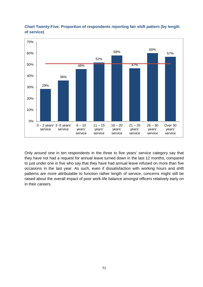

**Chart Twenty-Five: Proportion of respondents reporting fair shift pattern (by length of service)** 

Only around one in ten respondents in the three to five years' service category say that they have not had a request for annual leave turned down in the last 12 months, compared to just under one in five who say that they have had annual leave refused on more than five occasions in the last year. As such, even if dissatisfaction with working hours and shift patterns are more attributable to function rather length of service, concerns might still be raised about the overall impact of poor work-life balance amongst officers relatively early on in their careers.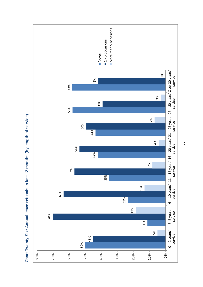

**Chart Twenty-Six: Annual leave refusals in last 12 months (by length of service)**  Chart Twenty-Six: Annual leave refusals in last 12 months (by length of service)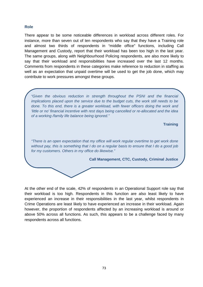### **Role**

There appear to be some noticeable differences in workload across different roles. For instance, more than seven out of ten respondents who say that they have a Training role and almost two thirds of respondents in "middle office" functions, including Call Management and Custody, report that their workload has been too high in the last year. The same groups, along with Neighbourhood Policing respondents, are also more likely to say that their workload and responsibilities have increased over the last 12 months. Comments from respondents in these categories make reference to reduction in staffing as well as an expectation that unpaid overtime will be used to get the job done, which may contribute to work pressures amongst these groups.

"Given the obvious reduction in strength throughout the PSNI and the financial implications placed upon the service due to the budget cuts, the work still needs to be done. To this end, there is a greater workload, with fewer officers doing the work and 'little or no' financial incentive with rest days being cancelled or re-allocated and the idea of a working /family life balance being ignored."

**Training** 

"There is an open expectation that my office will work regular overtime to get work done without pay, this is something that I do on a regular basis to ensure that I do a good job for my customers. Others in my office do likewise."

**Call Management, CTC, Custody, Criminal Justice** 

At the other end of the scale, 42% of respondents in an Operational Support role say that their workload is too high. Respondents in this function are also least likely to have experienced an increase in their responsibilities in the last year, whilst respondents in Crime Operations are least likely to have experienced an increase in their workload. Again however, the proportion of respondents affected by an increasing workload is around or above 50% across all functions. As such, this appears to be a challenge faced by many respondents across all functions.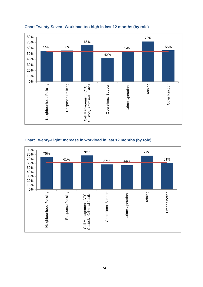

## **Chart Twenty-Seven: Workload too high in last 12 months (by role)**

# **Chart Twenty-Eight: Increase in workload in last 12 months (by role)**

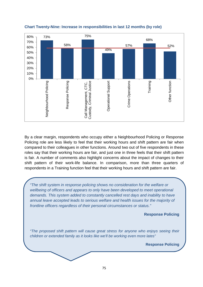

### **Chart Twenty-Nine: Increase in responsibilities in last 12 months (by role)**

By a clear margin, respondents who occupy either a Neighbourhood Policing or Response Policing role are less likely to feel that their working hours and shift pattern are fair when compared to their colleagues in other functions. Around two out of five respondents in these roles say that their working hours are fair, and just one in three feels that their shift pattern is fair. A number of comments also highlight concerns about the impact of changes to their shift pattern of their work-life balance. In comparison, more than three quarters of respondents in a Training function feel that their working hours and shift pattern are fair.

"The shift system in response policing shows no consideration for the welfare or wellbeing of officers and appears to only have been developed to meet operational demands. This system added to constantly cancelled rest days and inability to have annual leave accepted leads to serious welfare and health issues for the majority of frontline officers regardless of their personal circumstances or status."

**Response Policing** 

"The proposed shift pattern will cause great stress for anyone who enjoys seeing their children or extended family as it looks like we'll be working even more lates"

**Response Policing**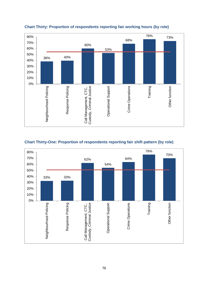

# **Chart Thirty: Proportion of respondents reporting fair working hours (by role)**



# **Chart Thirty-One: Proportion of respondents reporting fair shift pattern (by role)**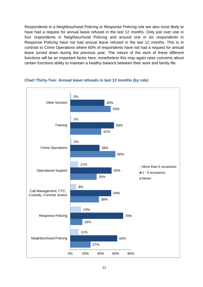Respondents in a Neighbourhood Policing or Response Policing role are also most likely to have had a request for annual leave refused in the last 12 months. Only just over one in four respondents in Neighbourhood Policing and around one in six respondents in Response Policing have not had annual leave refused in the last 12 months. This is in contrast to Crime Operations where 60% of respondents have not had a request for annual leave turned down during the previous year. The nature of the work of these different functions will be an important factor here; nonetheless this may again raise concerns about certain functions ability to maintain a healthy balance between their work and family life.



#### **Chart Thirty-Two: Annual leave refusals in last 12 months (by role)**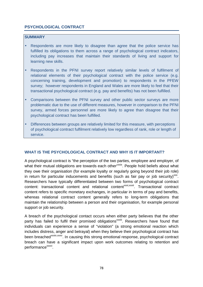# **PSYCHOLOGICAL CONTRACT**

# **SUMMARY**

- Respondents are more likely to disagree than agree that the police service has fulfilled its obligations to them across a range of psychological contract indicators, including pay increases that maintain their standards of living and support for learning new skills.
- Respondents in the PFNI survey report relatively similar levels of fulfilment of relational elements of their psychological contract with the police service (e.g. concerning training, development and promotion) to respondents in the PFEW survey; however respondents in England and Wales are more likely to feel that their transactional psychological contract (e.g. pay and benefits) has not been fulfilled.
- Comparisons between the PFNI survey and other public sector surveys are more problematic due to the use of different measures, however in comparison to the PFNI survey, armed forces personnel are more likely to agree than disagree that their psychological contract has been fulfilled.
- Differences between groups are relatively limited for this measure, with perceptions of psychological contract fulfilment relatively low regardless of rank, role or length of service.

# **WHAT IS THE PSYCHOLOGICAL CONTRACT AND WHY IS IT IMPORTANT?**

A psychological contract is "the perception of the two parties, employee and employer, of what their mutual obligations are towards each other"<sup>xxix</sup>. People hold beliefs about what they owe their organisation (for example loyalty or regularly going beyond their job role) in return for particular inducements and benefits (such as fair pay or job security)<sup>xxx</sup>. Researchers have typically differentiated between two forms of psychological contract content: transactional content and relational content<sup>xxxi</sup>,xxxii. Transactional contract content refers to specific monetary exchanges, in particular in terms of pay and benefits, whereas relational contract content generally refers to long-term obligations that maintain the relationship between a person and their organisation, for example personal support or job security.

A breach of the psychological contact occurs when either party believes that the other party has failed to fulfil their promised obligations<sup>xxxiii</sup>. Researchers have found that individuals can experience a sense of "violation" (a strong emotional reaction which includes distress, anger and betrayal) when they believe their psychological contract has been breached<sup>xxxiv,xxxv</sup>. In causing this strong emotional response, psychological contract breach can have a significant impact upon work outcomes relating to retention and performance<sup>xxxvi</sup>.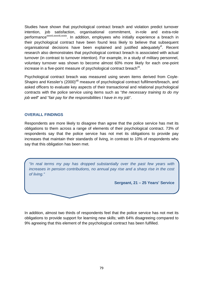Studies have shown that psychological contract breach and violation predict turnover intention, job satisfaction, organisational commitment, in-role and extra-role performance<sup>xxxvii,xxxvii,xxxix</sup>. In addition, employees who initially experience a breach in their psychological contract have been found less likely to believe that subsequent organisational decisions have been explained and justified adequately<sup>xl</sup>. Recent research also demonstrates that psychological contract breach is associated with actual turnover (in contrast to turnover intention). For example, in a study of military personnel, voluntary turnover was shown to become almost 60% more likely for each one-point increase in a five-point measure of psychological contract breach ${}^{\text{Xli}}.$ 

Psychological contract breach was measured using seven items derived from Coyle-Shapiro and Kessler's (2000)<sup>xlii</sup> measure of psychological contract fulfilment/breach, and asked officers to evaluate key aspects of their transactional and relational psychological contracts with the police service using items such as "the necessary training to do my job well" and "fair pay for the responsibilities I have in my job".

# **OVERALL FINDINGS**

Respondents are more likely to disagree than agree that the police service has met its obligations to them across a range of elements of their psychological contract. 73% of respondents say that the police service has not met its obligations to provide pay increases that maintain their standards of living, in contrast to 10% of respondents who say that this obligation has been met.

"In real terms my pay has dropped substantially over the past few years with increases in pension contributions, no annual pay rise and a sharp rise in the cost of living."

**Sergeant, 21 – 25 Years' Service** 

In addition, almost two thirds of respondents feel that the police service has not met its obligations to provide support for learning new skills; with 64% disagreeing compared to 9% agreeing that this element of the psychological contract has been fulfilled.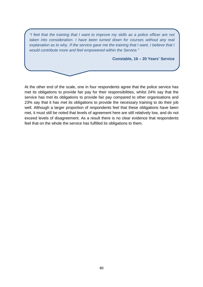"I feel that the training that I want to improve my skills as a police officer are not taken into consideration. I have been turned down for courses without any real explanation as to why. If the service gave me the training that I want, I believe that I would contribute more and feel empowered within the Service."

**Constable, 16 – 20 Years' Service** 

At the other end of the scale, one in four respondents agree that the police service has met its obligations to provide fair pay for their responsibilities, whilst 24% say that the service has met its obligations to provide fair pay compared to other organisations and 23% say that it has met its obligations to provide the necessary training to do their job well. Although a larger proportion of respondents feel that these obligations have been met, it must still be noted that levels of agreement here are still relatively low, and do not exceed levels of disagreement. As a result there is no clear evidence that respondents feel that on the whole the service has fulfilled its obligations to them.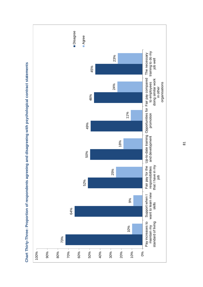

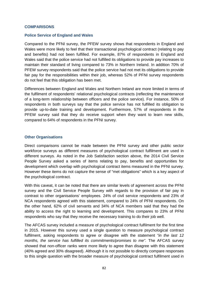#### **COMPARISONS**

#### **Police Service of England and Wales**

Compared to the PFNI survey, the PFEW survey shows that respondents in England and Wales were more likely to feel that their transactional psychological contract (relating to pay and benefits) had not been fulfilled. For example, 87% of respondents in England and Wales said that the police service had not fulfilled its obligations to provide pay increases to maintain their standard of living compared to 73% in Northern Ireland. In addition 70% of PFEW survey respondents said that the police service had not met its obligations to provide fair pay for the responsibilities within their job, whereas 52% of PFNI survey respondents do not feel that this obligation has been met.

Differences between England and Wales and Northern Ireland are more limited in terms of the fulfilment of respondents' relational psychological contracts (reflecting the maintenance of a long-term relationship between officers and the police service). For instance, 50% of respondents in both surveys say that the police service has not fulfilled its obligation to provide up-to-date training and development. Furthermore, 57% of respondents in the PFEW survey said that they do receive support when they want to learn new skills, compared to 64% of respondents in the PFNI survey.

#### **Other Organisations**

Direct comparisons cannot be made between the PFNI survey and other public sector workforce surveys as different measures of psychological contract fulfilment are used in different surveys. As noted in the Job Satisfaction section above, the 2014 Civil Service People Survey asked a series of items relating to pay, benefits and opportunities for development which overlap with psychological contract items measured in the PFNI survey. However these items do not capture the sense of "met obligations" which is a key aspect of the psychological contract.

With this caveat, it can be noted that there are similar levels of agreement across the PFNI survey and the Civil Service People Survey with regards to the provision of fair pay in contrast to other organisations' employees. 24% of civil service respondents and 23% of NCA respondents agreed with this statement, compared to 24% of PFNI respondents. On the other hand, 62% of civil servants and 34% of NCA members said that they had the ability to access the right to learning and development. This compares to 23% of PFNI respondents who say that they receive the necessary training to do their job well.

The AFCAS survey included a measure of psychological contract fulfilment for the first time in 2015. However this survey used a single question to measure psychological contract fulfilment, asking respondents to agree or disagree with the statement "in the last 12" months, the service has fulfilled its commitments/promises to me". The AFCAS survey showed that non-officer ranks were more likely to agree than disagree with this statement (40% agreed and 30% disagreed). Although it is not possible to directly compare responses to this single question with the broader measure of psychological contract fulfilment used in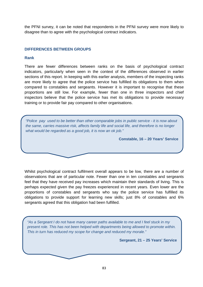the PFNI survey, it can be noted that respondents in the PFNI survey were more likely to disagree than to agree with the psychological contract indicators.

# **DIFFERENCES BETWEEN GROUPS**

## **Rank**

There are fewer differences between ranks on the basis of psychological contract indicators, particularly when seen in the context of the differences observed in earlier sections of this report. In keeping with this earlier analysis, members of the inspecting ranks are more likely to agree that the police service has fulfilled its obligations to them when compared to constables and sergeants. However it is important to recognise that these proportions are still low. For example, fewer than one in three inspectors and chief inspectors believe that the police service has met its obligations to provide necessary training or to provide fair pay compared to other organisations.

"Police pay used to be better than other comparable jobs in public service - it is now about the same, carries massive risk, affects family life and social life, and therefore is no longer what would be regarded as a good job, it is now an ok job."

**Constable, 16 – 20 Years' Service** 

Whilst psychological contract fulfilment overall appears to be low, there are a number of observations that are of particular note. Fewer than one in ten constables and sergeants feel that they have received pay increases which maintain their standards of living. This is perhaps expected given the pay freezes experienced in recent years. Even lower are the proportions of constables and sergeants who say the police service has fulfilled its obligations to provide support for learning new skills; just 8% of constables and 6% sergeants agreed that this obligation had been fulfilled.

"As a Sergeant I do not have many career paths available to me and I feel stuck in my present role. This has not been helped with departments being allowed to promote within. This in turn has reduced my scope for change and reduced my morale."

**Sergeant, 21 – 25 Years' Service**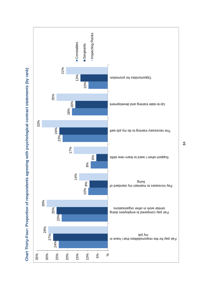

Chart Thirty-Four: Proportion of respondents agreeing with psychological contract statements (by rank) **Chart Thirty-Four: Proportion of respondents agreeing with psychological contract statements (by rank)**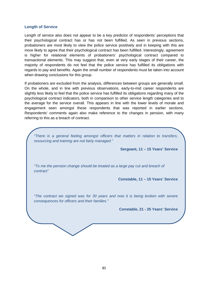#### **Length of Service**

Length of service also does not appear to be a key predictor of respondents' perceptions that their psychological contract has or has not been fulfilled. As seen in previous sections, probationers are most likely to view the police service positively and in keeping with this are more likely to agree that their psychological contract has been fulfilled. Interestingly, agreement is higher for relational elements of probationers' psychological contract compared to transactional elements. This may suggest that, even at very early stages of their career, the majority of respondents do not feel that the police service has fulfilled its obligations with regards to pay and benefits. Again the small number of respondents must be taken into account when drawing conclusions for this group.

If probationers are excluded from the analysis, differences between groups are generally small. On the whole, and in line with previous observations, early-to-mid career respondents are slightly less likely to feel that the police service has fulfilled its obligations regarding many of the psychological contract indicators, both in comparison to other service length categories and to the average for the service overall. This appears in line with the lower levels of morale and engagement seen amongst these respondents that was reported in earlier sections. Respondents' comments again also make reference to the changes in pension, with many referring to this as a breach of contract.

"There is a general feeling amongst officers that matters in relation to transfers, resourcing and training are not fairly managed."

**Sergeant, 11 – 15 Years' Service** 

"To me the pension change should be treated as a large pay cut and breach of contract"

**Constable, 11 – 15 Years' Service** 

"The contract we signed was for 30 years and now it is being broken with severe consequences for officers and their families."

**Constable, 21 - 25 Years' Service**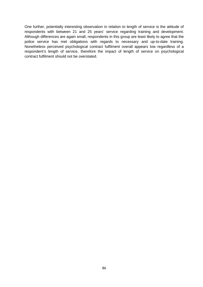One further, potentially interesting observation in relation to length of service is the attitude of respondents with between 21 and 25 years' service regarding training and development. Although differences are again small, respondents in this group are least likely to agree that the police service has met obligations with regards to necessary and up-to-date training. Nonetheless perceived psychological contract fulfilment overall appears low regardless of a respondent's length of service, therefore the impact of length of service on psychological contract fulfilment should not be overstated.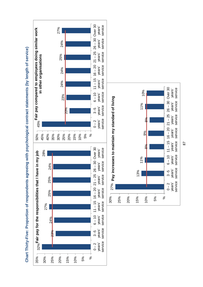



**Chart Thirty-Five: Proportion of respondents agreeing with psychological contract statements (by length of service)** Chart Thirty-Five: Proportion of respondents agreeing with psychological contract statements (by length of service)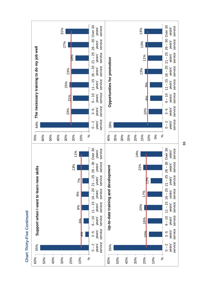

Chart Thirty-Five Continued **Chart Thirty-Five Continued**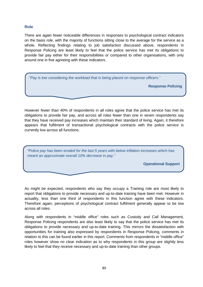## **Role**

There are again fewer noticeable differences in responses to psychological contract indicators on the basis role, with the majority of functions sitting close to the average for the service as a whole. Reflecting findings relating to job satisfaction discussed above, respondents in Response Policing are least likely to feel that the police service has met its obligations to provide fair pay either for their responsibilities or compared to other organisations, with only around one in five agreeing with these indicators.

"Pay is low considering the workload that is being placed on response officers."

**Response Policing** 

However fewer than 40% of respondents in all roles agree that the police service has met its obligations to provide fair pay, and across all roles fewer than one in seven respondents say that they have received pay increases which maintain their standard of living. Again, it therefore appears that fulfilment of transactional psychological contracts with the police service is currently low across all functions.

"Police pay has been eroded for the last 5 years with below inflation increases which has meant an approximate overall 10% decrease in pay."

**Operational Support** 

As might be expected, respondents who say they occupy a Training role are most likely to report that obligations to provide necessary and up-to-date training have been met. However in actuality, less than one third of respondents in this function agree with these indicators. Therefore again, perceptions of psychological contract fulfilment generally appear to be low across all roles.

Along with respondents in "middle office" roles such as Custody and Call Management, Response Policing respondents are also least likely to say that the police service has met its obligations to provide necessary and up-to-date training. This mirrors the dissatisfaction with opportunities for training also expressed by respondents in Response Policing, comments in relation to this can be found earlier in this report. Comments from respondents in "middle office" roles however show no clear indication as to why respondents in this group are slightly less likely to feel that they receive necessary and up-to-date training than other groups.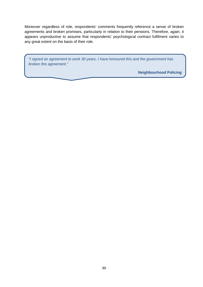Moreover regardless of role, respondents' comments frequently reference a sense of broken agreements and broken promises, particularly in relation to their pensions. Therefore, again, it appears unproductive to assume that respondents' psychological contract fulfilment varies to any great extent on the basis of their role.

"I signed an agreement to work 30 years, I have honoured this and the government has broken this agreement."

**Neighbourhood Policing**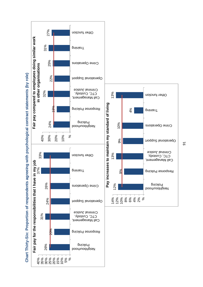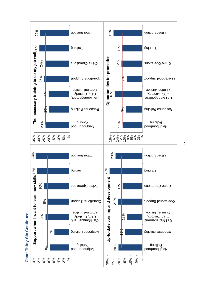

**Chart Thirty-Six Continued** Chart Thirty-Six Continued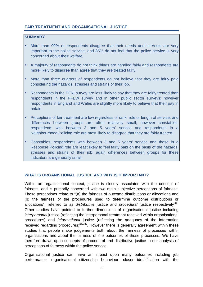# **FAIR TREATMENT AND ORGANISATIONAL JUSTICE**

# **SUMMARY**

- More than 90% of respondents disagree that their needs and interests are very important to the police service, and 85% do not feel that the police service is very concerned about their welfare.
- A majority of respondents do not think things are handled fairly and respondents are more likely to disagree than agree that they are treated fairly.
- More than three quarters of respondents do not believe that they are fairly paid considering the hazards, stresses and strains of their job.
- Respondents in the PFNI survey are less likely to say that they are fairly treated than respondents in the PFEW survey and in other public sector surveys; however respondents in England and Wales are slightly more likely to believe that their pay in unfair.
- Perceptions of fair treatment are low regardless of rank, role or length of service, and differences between groups are often relatively small; however constables, respondents with between 3 and 5 years' service and respondents in a Neighbourhood Policing role are most likely to disagree that they are fairly treated.
- Constables, respondents with between 3 and 5 years' service and those in a Response Policing role are least likely to feel fairly paid on the basis of the hazards, stresses and strains of their job; again differences between groups for these indicators are generally small.

# **WHAT IS ORGANISTIONAL JUSTICE AND WHY IS IT IMPORTANT?**

Within an organisational context, justice is closely associated with the concept of fairness, and is primarily concerned with two main subjective perceptions of fairness. These perceptions relate to "(a) the fairness of outcome distributions or allocations and (b) the fairness of the procedures used to determine outcome distributions or allocations"; referred to as *distributive* justice and *procedural* justice respectively<sup>xliii</sup>. Other studies have pointed to further dimensions of organisational justice including interpersonal justice (reflecting the interpersonal treatment received within organisational procedures) and informational justice (reflecting the adequacy of the information received regarding procedures)<sup>xliv,xlv</sup>. However there is generally agreement within these studies that people make judgements both about the fairness of processes within organisations and about the fairness of the outcomes of those processes. We have therefore drawn upon concepts of procedural and distributive justice in our analysis of perceptions of fairness within the police service.

Organisational justice can have an impact upon many outcomes including job performance, organisational citizenship behaviour, closer identification with the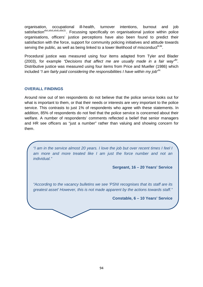organisation, occupational ill-health, turnover intentions, burnout and job satisfaction<sup>xlvi,xlvii,xlvii,xlxl,li.</sup>. Focussing specifically on organisational justice within police organisations, officers' justice perceptions have also been found to predict their satisfaction with the force, support for community policing initiatives and attitude towards serving the public, as well as being linked to a lower likelihood of misconduct $^{\text{iii,}\text{iii}}$ .

Procedural justice was measured using four items adapted from Tyler and Blader (2003), for example "Decisions that affect me are usually made in a fair way"<sup>iv</sup>. Distributive justice was measured using four items from Price and Mueller (1986) which included "I am fairly paid considering the responsibilities I have within my job" $^{\mathsf{lv.}}$ 

#### **OVERALL FINDINGS**

Around nine out of ten respondents do not believe that the police service looks out for what is important to them, or that their needs or interests are very important to the police service. This contrasts to just 1% of respondents who agree with these statements. In addition, 85% of respondents do not feel that the police service is concerned about their welfare. A number of respondents' comments reflected a belief that senior managers and HR see officers as "just a number" rather than valuing and showing concern for them.

"I am in the service almost 20 years. I love the job but over recent times I feel I am more and more treated like I am just the force number and not an individual."

**Sergeant, 16 – 20 Years' Service** 

"According to the vacancy bulletins we see 'PSNI recognises that its staff are its greatest asset' However, this is not made apparent by the actions towards staff."

**Constable, 6 – 10 Years' Service**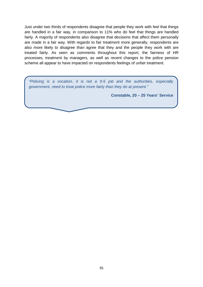Just under two thirds of respondents disagree that people they work with feel that things are handled in a fair way, in comparison to 11% who do feel that things are handled fairly. A majority of respondents also disagree that decisions that affect them personally are made in a fair way. With regards to fair treatment more generally, respondents are also more likely to disagree than agree that they and the people they work with are treated fairly. As seen as comments throughout this report, the fairness of HR processes, treatment by managers, as well as recent changes to the police pension scheme all appear to have impacted on respondents feelings of unfair treatment.

"Policing is a vocation, it is not a 9-5 job and the authorities, especially government, need to treat police more fairly than they do at present."

**Constable, 20 – 25 Years' Service**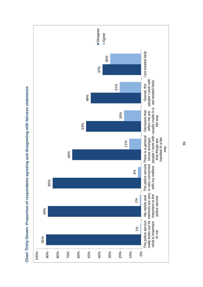

Chart Thirty-Seven: Proportion of respondents agreeing and disagreeing with fairness statements **Chart Thirty-Seven: Proportion of respondents agreeing and disagreeing with fairness statements**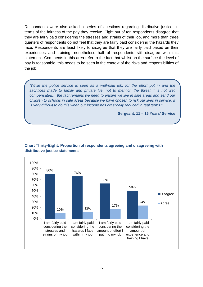Respondents were also asked a series of questions regarding distributive justice, in terms of the fairness of the pay they receive. Eight out of ten respondents disagree that they are fairly paid considering the stresses and strains of their job, and more than three quarters of respondents do not feel that they are fairly paid considering the hazards they face. Respondents are least likely to disagree that they are fairly paid based on their experiences and training, nonetheless half of respondents still disagree with this statement. Comments in this area refer to the fact that whilst on the surface the level of pay is reasonable, this needs to be seen in the context of the risks and responsibilities of the job.

"While the police service is seen as a well-paid job, for the effort put in and the sacrifices made to family and private life, not to mention the threat it is not well compensated… the fact remains we need to ensure we live in safe areas and send our children to schools in safe areas because we have chosen to risk our lives in service. It is very difficult to do this when our income has drastically reduced in real terms."

**Sergeant, 11 – 15 Years' Service** 



# **Chart Thirty-Eight: Proportion of respondents agreeing and disagreeing with distributive justice statements**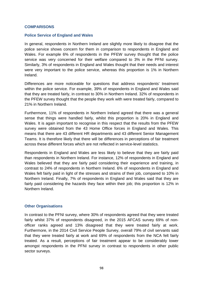#### **COMPARISONS**

#### **Police Service of England and Wales**

In general, respondents in Northern Ireland are slightly more likely to disagree that the police service shows concern for them in comparison to respondents in England and Wales. For example 6% of respondents in the PFEW survey thought that the police service was very concerned for their welfare compared to 3% in the PFNI survey. Similarly, 3% of respondents in England and Wales thought that their needs and interest were very important to the police service, whereas this proportion is 1% in Northern Ireland.

Differences are more noticeable for questions that address respondents' treatment within the police service. For example, 39% of respondents in England and Wales said that they are treated fairly, in contrast to 30% in Northern Ireland. 32% of respondents in the PFEW survey thought that the people they work with were treated fairly, compared to 21% in Northern Ireland.

Furthermore, 11% of respondents in Northern Ireland agreed that there was a general sense that things were handled fairly, whilst this proportion is 20% in England and Wales. It is again important to recognise in this respect that the results from the PFEW survey were obtained from the 43 Home Office forces in England and Wales. This means that there are 43 different HR departments and 43 different Senior Management Teams. It is therefore likely that there will be differences in perceptions of fair treatment across these different forces which are not reflected in service-level statistics.

Respondents in England and Wales are less likely to believe that they are fairly paid than respondents in Northern Ireland. For instance, 12% of respondents in England and Wales believed that they are fairly paid considering their experience and training, in contrast to 24% of respondents in Northern Ireland. 6% of respondents in England and Wales felt fairly paid in light of the stresses and strains of their job, compared to 10% in Northern Ireland. Finally, 7% of respondents in England and Wales said that they are fairly paid considering the hazards they face within their job; this proportion is 12% in Northern Ireland.

#### **Other Organisations**

In contrast to the PFNI survey, where 30% of respondents agreed that they were treated fairly whilst 37% of respondents disagreed, in the 2015 AFCAS survey 69% of nonofficer ranks agreed and 13% disagreed that they were treated fairly at work. Furthermore, in the 2014 Civil Service People Survey, overall 79% of civil servants said that they were treated fairly at work and 69% of respondents from the NCA felt fairly treated. As a result, perceptions of fair treatment appear to be considerably lower amongst respondents in the PFNI survey in contrast to respondents in other public sector surveys.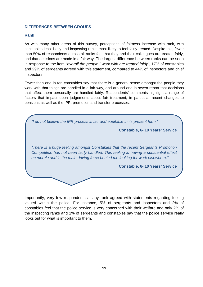### **DIFFERENCES BETWEEN GROUPS**

#### **Rank**

As with many other areas of this survey, perceptions of fairness increase with rank, with constables least likely and inspecting ranks most likely to feel fairly treated. Despite this, fewer than 50% of respondents across all ranks feel that they and their colleagues are treated fairly, and that decisions are made in a fair way. The largest difference between ranks can be seen in response to the item "overall the people I work with are treated fairly", 17% of constables and 29% of sergeants agreed with this statement, compared to 44% of inspectors and chief inspectors.

Fewer than one in ten constables say that there is a general sense amongst the people they work with that things are handled in a fair way, and around one in seven report that decisions that affect them personally are handled fairly. Respondents' comments highlight a range of factors that impact upon judgements about fair treatment, in particular recent changes to pensions as well as the IPR, promotion and transfer processes.



Importantly, very few respondents at any rank agreed with statements regarding feeling valued within the police. For instance, 5% of sergeants and inspectors and 2% of constables feel that the police service is very concerned with their welfare and only 2% of the inspecting ranks and 1% of sergeants and constables say that the police service really looks out for what is important to them.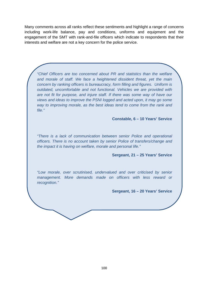Many comments across all ranks reflect these sentiments and highlight a range of concerns including work-life balance, pay and conditions, uniforms and equipment and the engagement of the SMT with rank-and-file officers which indicate to respondents that their interests and welfare are not a key concern for the police service.

"Chief Officers are too concerned about PR and statistics than the welfare and morale of staff. We face a heightened dissident threat, yet the main concern by ranking officers is bureaucracy, form filling and figures. Uniform is outdated, uncomfortable and not functional. Vehicles we are provided with are not fit for purpose, and injure staff. If there was some way of have our views and ideas to improve the PSNI logged and acted upon, it may go some way to improving morale, as the best ideas tend to come from the rank and file."

**Constable, 6 – 10 Years' Service** 

"There is a lack of communication between senior Police and operational officers. There is no account taken by senior Police of transfers/change and the impact it is having on welfare, morale and personal life."

**Sergeant, 21 – 25 Years' Service** 

"Low morale, over scrutinised, undervalued and over criticised by senior management. More demands made on officers with less reward or recognition."

**Sergeant, 16 – 20 Years' Service**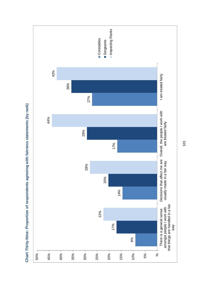

Chart Thirty-Nine: Proportion of respondents agreeing with fairness statements (by rank) **Chart Thirty-Nine: Proportion of respondents agreeing with fairness statements (by rank)**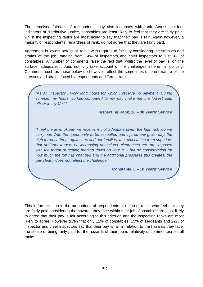The perceived fairness of respondents' pay also increases with rank. Across the four indicators of distributive justice, constables are least likely to feel that they are fairly paid, whilst the inspecting ranks are most likely to say that their pay is fair. Again however, a majority of respondents, regardless of rank, do not agree that they are fairly paid.

Agreement is lowest across all ranks with regards to fair pay considering the stresses and strains of the job, ranging from 14% of inspectors and chief inspectors to just 9% of constables. A number of comments raise the fact that, whilst the level of pay is, on the surface, adequate, it does not fully take account of the challenges inherent in policing. Comments such as those below do however reflect the sometimes different nature of the stresses and strains faced by respondents at different ranks.

"As an Inspector I work long hours for which I receive no payment. During summer my hours worked compared to my pay make me the lowest paid officer in my Unit."

**Inspecting Rank, 26 – 30 Years' Service** 

"I feel the level of pay we receive is not adequate given the high risk job we carry out. With the opportunity to be assaulted and injured any given day, the high terrorist threat against us and our families, the expectation from superiors that arbitrary targets on increasing detections, clearances etc. are imposed with the threat of getting marked down on your IPR but no consideration for how much the job has changed and the additional pressures this creates, the pay clearly does not reflect the challenge."

**Constable, 6 – 10 Years' Service** 

This is further seen in the proportions of respondents at different ranks who feel that they are fairly paid considering the hazards they face within their job. Constables are least likely to agree that their pay is fair according to this criterion and the inspecting ranks are most likely to agree. However given that only 11% of constables, 15% of sergeants and 22% of inspector and chief inspectors say that their pay is fair in relation to the hazards they face, the sense of being fairly paid for the hazards of their job is relatively uncommon across all ranks.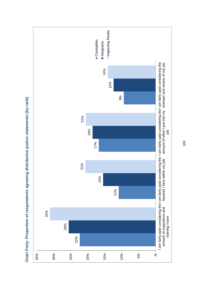

**Chart Forty: Proportion of respondents agreeing distributive justice statements (by rank)**  Chart Forty: Proportion of respondents agreeing distributive justice statements (by rank)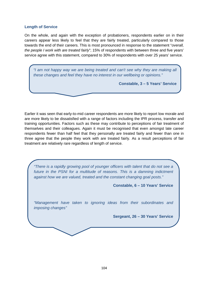#### **Length of Service**

On the whole, and again with the exception of probationers, respondents earlier on in their careers appear less likely to feel that they are fairly treated, particularly compared to those towards the end of their careers. This is most pronounced in response to the statement "overall, the people I work with are treated fairly"; 15% of respondents with between three and five years' service agree with this statement, compared to 30% of respondents with over 25 years' service.

"I am not happy way we are being treated and can't see why they are making all these changes and feel they have no interest in our wellbeing or opinions."

**Constable, 3 – 5 Years' Service** 

Earlier it was seen that early-to-mid career respondents are more likely to report low morale and are more likely to be dissatisfied with a range of factors including the IPR process, transfer and training opportunities. Factors such as these may contribute to perceptions of fair treatment of themselves and their colleagues. Again it must be recognised that even amongst late career respondents fewer than half feel that they personally are treated fairly and fewer than one in three agree that the people they work with are treated fairly. As a result perceptions of fair treatment are relatively rare regardless of length of service.

"There is a rapidly growing pool of younger officers with talent that do not see a future in the PSNI for a multitude of reasons. This is a damning indictment against how we are valued, treated and the constant changing goal posts."

**Constable, 6 – 10 Years' Service** 

"Management have taken to ignoring ideas from their subordinates and imposing changes"

**Sergeant, 26 – 30 Years' Service**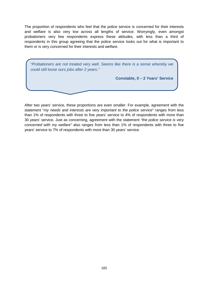The proportion of respondents who feel that the police service is concerned for their interests and welfare is also very low across all lengths of service. Worryingly, even amongst probationers very few respondents express these attitudes, with less than a third of respondents in this group agreeing that the police service looks out for what is important to them or is very concerned for their interests and welfare.

"Probationers are not treated very well. Seems like there is a sense whereby we could still loose ours jobs after 2 years."

**Constable, 0 – 2 Years' Service**

After two years' service, these proportions are even smaller. For example, agreement with the statement "my needs and interests are very important to the police service" ranges from less than 1% of respondents with three to five years' service to 4% of respondents with more than 30 years' service. Just as concerning, agreement with the statement "the police service is very concerned with my welfare" also ranges from less than 1% of respondents with three to five years' service to 7% of respondents with more than 30 years' service.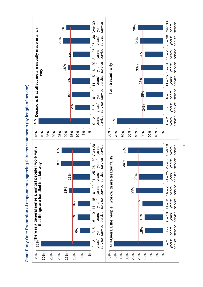

Chart Forty-One: Proportion of respondents agreeing fairness statements (by length of service) **Chart Forty-One: Proportion of respondents agreeing fairness statements (by length of service)**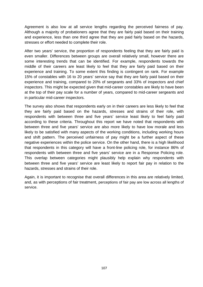Agreement is also low at all service lengths regarding the perceived fairness of pay. Although a majority of probationers agree that they are fairly paid based on their training and experience, less than one third agree that they are paid fairly based on the hazards, stresses or effort needed to complete their role.

After two years' service, the proportion of respondents feeling that they are fairly paid is even smaller. Differences between groups are overall relatively small, however there are some interesting trends that can be identified. For example, respondents towards the middle of their careers are least likely to feel that they are fairly paid based on their experience and training. To some extent this finding is contingent on rank. For example 15% of constables with 16 to 20 years' service say that they are fairly paid based on their experience and training, compared to 20% of sergeants and 33% of inspectors and chief inspectors. This might be expected given that mid-career constables are likely to have been at the top of their pay scale for a number of years, compared to mid-career sergeants and in particular mid-career inspectors.

The survey also shows that respondents early on in their careers are less likely to feel that they are fairly paid based on the hazards, stresses and strains of their role, with respondents with between three and five years' service least likely to feel fairly paid according to these criteria. Throughout this report we have noted that respondents with between three and five years' service are also more likely to have low morale and less likely to be satisfied with many aspects of the working conditions, including working hours and shift pattern. The perceived unfairness of pay might be a further aspect of these negative experiences within the police service. On the other hand, there is a high likelihood that respondents in this category will have a front-line policing role, for instance 86% of respondents with between three and five years' service are in a Response Policing role. This overlap between categories might plausibly help explain why respondents with between three and five years' service are least likely to report fair pay in relation to the hazards, stresses and strains of their role.

Again, it is important to recognise that overall differences in this area are relatively limited, and, as with perceptions of fair treatment, perceptions of fair pay are low across all lengths of service.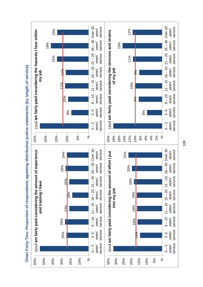

**Chart Forty-Two: Proportion of respondents agreeing distributive justice statements (by length of service)** Chart Forty-Two: Proportion of respondents agreeing distributive justice statements (by length of service)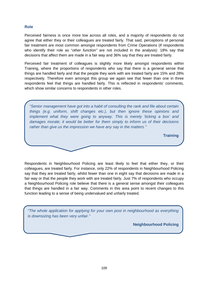## **Role**

Perceived fairness is once more low across all roles, and a majority of respondents do not agree that either they or their colleagues are treated fairly. That said, perceptions of personal fair treatment are most common amongst respondents from Crime Operations (if respondents who identify their role as "other function" are not included in the analysis): 18% say that decisions that affect them are made in a fair way and 36% say that they are treated fairly.

Perceived fair treatment of colleagues is slightly more likely amongst respondents within Training, where the proportions of respondents who say that there is a general sense that things are handled fairly and that the people they work with are treated fairly are 15% and 28% respectively. Therefore even amongst this group we again see that fewer than one in three respondents feel that things are handled fairly. This is reflected in respondents' comments, which show similar concerns to respondents in other roles.

"Senior management have got into a habit of consulting the rank and file about certain things (e.g. uniform, shift changes etc.), but then ignore these opinions and implement what they were going to anyway. This is merely 'ticking a box' and damages morale; it would be better for them simply to inform us of their decisions rather than give us the impression we have any say in the matters."

**Training**

Respondents in Neighbourhood Policing are least likely to feel that either they, or their colleagues, are treated fairly. For instance, only 22% of respondents in Neighbourhood Policing say that they are treated fairly, whilst fewer than one in eight say that decisions are made in a fair way or that the people they work with are treated fairly. Just 7% of respondents who occupy a Neighbourhood Policing role believe that there is a general sense amongst their colleagues that things are handled in a fair way. Comments in this area point to recent changes to this function leading to a sense of being undervalued and unfairly treated.

"The whole application for applying for your own post in neighbourhood as everything is downsizing has been very unfair."

**Neighbourhood Policing**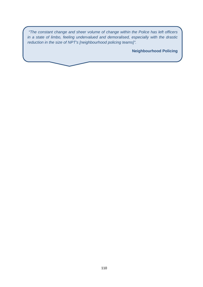"The constant change and sheer volume of change within the Police has left officers in a state of limbo, feeling undervalued and demoralised, especially with the drastic reduction in the size of NPT's [neighbourhood policing teams]".

**Neighbourhood Policing**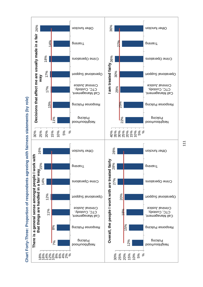

**Chart Forty-Three: Proportion of respondents agreeing with fairness statements (by role)** Chart Forty-Three: Proportion of respondents agreeing with fairness statements (by role)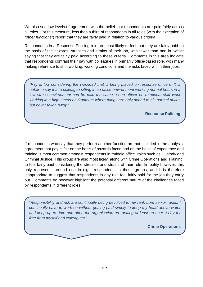We also see low levels of agreement with the belief that respondents are paid fairly across all roles. For this measure, less than a third of respondents in all roles (with the exception of "other functions") report that they are fairly paid in relation to various criteria.

Respondents in a Response Policing role are least likely to feel that they are fairly paid on the basis of the hazards, stresses and strains of their job, with fewer than one in twelve saying that they are fairly paid according to these criteria. Comments in this area indicate that respondents contrast their pay with colleagues in primarily office-based role, with many making reference to shift working, working conditions and the risks faced within their jobs.

"Pay is low considering the workload that is being placed on response officers. It is unfair to say that a colleague sitting in an office environment working normal hours in a low stress environment can be paid the same as an officer on rotational shift work working in a high stress environment where things are only added to his normal duties but never taken away."

**Response Policing** 

If respondents who say that they perform another function are not included in the analysis, agreement that pay is fair on the basis of hazards faced and on the basis of experience and training is most common amongst respondents in "middle office" roles such as Custody and Criminal Justice. This group are also most likely, along with Crime Operations and Training, to feel fairly paid considering the stresses and strains of their role. In reality however, this only represents around one in eight respondents in these groups, and it is therefore inappropriate to suggest that respondents in any role feel fairly paid for the job they carry out. Comments do however highlight the potential different nature of the challenges faced by respondents in different roles.

"Responsibility and risk are continually being devolved to my rank from senior ranks. I continually have to work on without getting paid simply to keep my head above water and keep up to date and often the organisation are getting at least an hour a day for free from myself and colleagues."

**Crime Operations**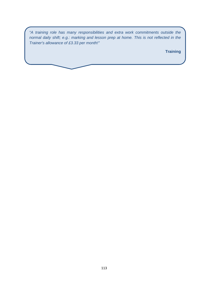"A training role has many responsibilities and extra work commitments outside the normal daily shift; e.g.: marking and lesson prep at home. This is not reflected in the Trainer's allowance of £3.33 per month!"

**Training**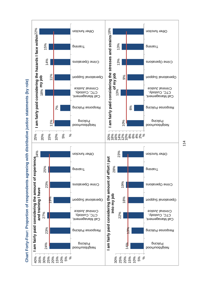

**Chart Forty-Four: Proportion of respondents agreeing with distributive justice statements (by role)** Chart Forty-Four: Proportion of respondents agreeing with distributive justice statements (by role)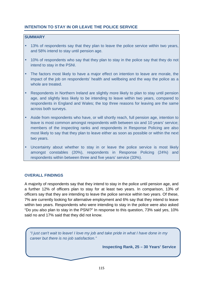# **INTENTION TO STAY IN OR LEAVE THE POLICE SERVICE**

# **SUMMARY**

- 13% of respondents say that they plan to leave the police service within two years, and 58% intend to stay until pension age.
- 10% of respondents who say that they plan to stay in the police say that they do not intend to stay in the PSNI.
- The factors most likely to have a major effect on intention to leave are morale, the impact of the job on respondents' health and wellbeing and the way the police as a whole are treated.
- Respondents in Northern Ireland are slightly more likely to plan to stay until pension age, and slightly less likely to be intending to leave within two years, compared to respondents in England and Wales; the top three reasons for leaving are the same across both surveys.
- Aside from respondents who have, or will shortly reach, full pension age, intention to leave is most common amongst respondents with between six and 10 years' service; members of the inspecting ranks and respondents in Response Policing are also most likely to say that they plan to leave either as soon as possible or within the next two years.
- Uncertainty about whether to stay in or leave the police service is most likely amongst constables (20%), respondents in Response Policing (24%) and respondents within between three and five years' service (33%).

## **OVERALL FINDINGS**

A majority of respondents say that they intend to stay in the police until pension age, and a further 12% of officers plan to stay for at least two years. In comparison, 13% of officers say that they are intending to leave the police service within two years. Of these, 7% are currently looking for alternative employment and 6% say that they intend to leave within two years. Respondents who were intending to stay in the police were also asked "Do you also plan to stay in the PSNI?" In response to this question, 73% said yes, 10% said no and 17% said that they did not know.

"I just can't wait to leave! I love my job and take pride in what I have done in my career but there is no job satisfaction."

**Inspecting Rank, 25 – 30 Years' Service**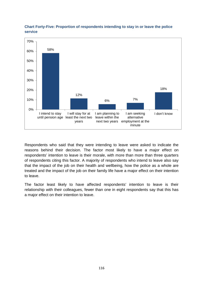

# **Chart Forty-Five: Proportion of respondents intending to stay in or leave the police service**

Respondents who said that they were intending to leave were asked to indicate the reasons behind their decision. The factor most likely to have a major effect on respondents' intention to leave is their morale, with more than more than three quarters of respondents citing this factor. A majority of respondents who intend to leave also say that the impact of the job on their health and wellbeing, how the police as a whole are treated and the impact of the job on their family life have a major effect on their intention to leave.

The factor least likely to have affected respondents' intention to leave is their relationship with their colleagues, fewer than one in eight respondents say that this has a major effect on their intention to leave.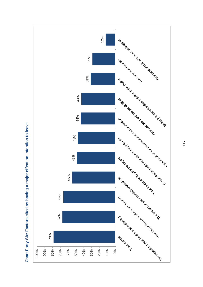

**Chart Forty-Six: Factors cited as having a major effect on intention to leave**  Chart Forty-Six: Factors cited as having a major effect on intention to leave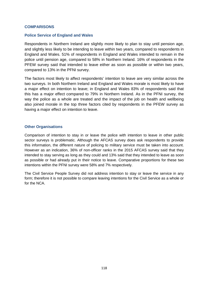#### **COMPARISONS**

## **Police Service of England and Wales**

Respondents in Northern Ireland are slightly more likely to plan to stay until pension age, and slightly less likely to be intending to leave within two years, compared to respondents in England and Wales. 51% of respondents in England and Wales intended to remain in the police until pension age, compared to 58% in Northern Ireland. 16% of respondents in the PFEW survey said that intended to leave either as soon as possible or within two years, compared to 13% in the PFNI survey.

The factors most likely to affect respondents' intention to leave are very similar across the two surveys. In both Northern Ireland and England and Wales morale is most likely to have a major effect on intention to leave; in England and Wales 83% of respondents said that this has a major effect compared to 79% in Northern Ireland. As in the PFNI survey, the way the police as a whole are treated and the impact of the job on health and wellbeing also joined morale in the top three factors cited by respondents in the PFEW survey as having a major effect on intention to leave.

## **Other Organisations**

Comparison of intention to stay in or leave the police with intention to leave in other public sector surveys is problematic. Although the AFCAS survey does ask respondents to provide this information, the different nature of policing to military service must be taken into account. However as an indication, 36% of non-officer ranks in the 2015 AFCAS survey said that they intended to stay serving as long as they could and 13% said that they intended to leave as soon as possible or had already put in their notice to leave. Comparative proportions for these two intentions within the PFNI survey were 58% and 7% respectively.

The Civil Service People Survey did not address intention to stay or leave the service in any form; therefore it is not possible to compare leaving intentions for the Civil Service as a whole or for the NCA.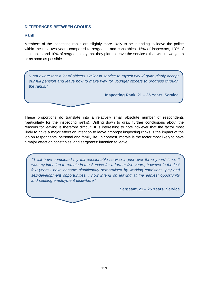#### **DIFFERENCES BETWEEN GROUPS**

#### **Rank**

Members of the inspecting ranks are slightly more likely to be intending to leave the police within the next two years compared to sergeants and constables. 15% of inspectors, 13% of constables and 10% of sergeants say that they plan to leave the service either within two years or as soon as possible.

"I am aware that a lot of officers similar in service to myself would quite gladly accept our full pension and leave now to make way for younger officers to progress through the ranks."

**Inspecting Rank, 21 – 25 Years' Service** 

These proportions do translate into a relatively small absolute number of respondents (particularly for the inspecting ranks). Drilling down to draw further conclusions about the reasons for leaving is therefore difficult. It is interesting to note however that the factor most likely to have a major effect on intention to leave amongst inspecting ranks is the impact of the job on respondents' personal and family life. In contrast, morale is the factor most likely to have a major effect on constables' and sergeants' intention to leave.

""I will have completed my full pensionable service in just over three years' time. It was my intention to remain in the Service for a further five years, however in the last few years I have become significantly demoralised by working conditions, pay and self-development opportunities. I now intend on leaving at the earliest opportunity and seeking employment elsewhere."

**Sergeant, 21 – 25 Years' Service**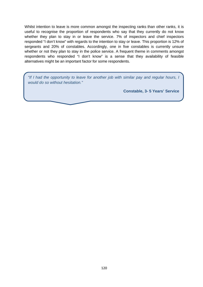Whilst intention to leave is more common amongst the inspecting ranks than other ranks, it is useful to recognise the proportion of respondents who say that they currently do not know whether they plan to stay in or leave the service. 7% of inspectors and chief inspectors responded "I don't know" with regards to the intention to stay or leave. This proportion is 12% of sergeants and 20% of constables. Accordingly, one in five constables is currently unsure whether or not they plan to stay in the police service. A frequent theme in comments amongst respondents who responded "I don't know" is a sense that they availability of feasible alternatives might be an important factor for some respondents.

"If I had the opportunity to leave for another job with similar pay and regular hours, I would do so without hesitation."

**Constable, 3- 5 Years' Service**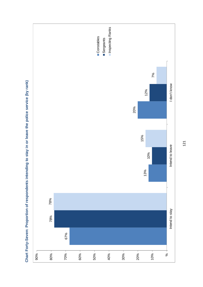

**Chart Forty-Seven: Proportion of respondents intending to stay in or leave the police service (by rank)**  Chart Forty-Seven: Proportion of respondents intending to stay in or leave the police service (by rank)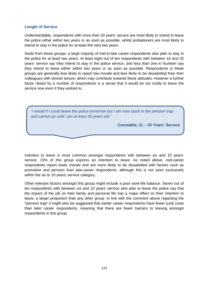## **Length of Service**

Understandably, respondents with more than 30 years' service are most likely to intend to leave the police either within two years or as soon as possible, whilst probationers are most likely to intend to stay in the police for at least the next two years.

Aside from these groups, a large majority of mid-to-late career respondents also plan to stay in the police for at least two years. At least eight out of ten respondents with between 16 and 25 years' service say they intend to stay in the police service, and less than one in fourteen say they intend to leave either within two years or as soon as possible. Respondents in these groups are generally less likely to report low morale and less likely to be dissatisfied than their colleagues with shorter tenure, which may contribute towards these attitudes. However a further factor raised by a number of respondents is a sense that it would be too costly to leave the service now even if they wished to.



Intention to leave is most common amongst respondents with between six and 10 years' service; 15% of this group express an intention to leave. As noted above, mid-career respondents report lower morale and are more likely to be dissatisfied with factors such as promotion and pension than late-career respondents, although this is not seen exclusively within the six to 10 years' service category.

Other relevant factors amongst this group might include a poor work-life balance. Seven out of ten respondents with between six and 10 years' service who plan to leave the police say that the impact of the job on their family and personal life has a major effect on their intention to leave, a larger proportion than any other group. In line with the comment above regarding the "pension trap" it might also be suggested that earlier career respondents have fewer sunk costs than later career respondents, meaning that there are fewer barriers to leaving amongst respondents in this group.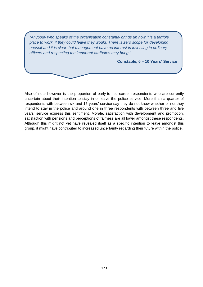"Anybody who speaks of the organisation constantly brings up how it is a terrible place to work, if they could leave they would. There is zero scope for developing oneself and it is clear that management have no interest in investing in ordinary officers and respecting the important attributes they bring."

**Constable, 6 – 10 Years' Service** 

Also of note however is the proportion of early-to-mid career respondents who are currently uncertain about their intention to stay in or leave the police service. More than a quarter of respondents with between six and 15 years' service say they do not know whether or not they intend to stay in the police and around one in three respondents with between three and five years' service express this sentiment. Morale, satisfaction with development and promotion, satisfaction with pensions and perceptions of fairness are all lower amongst these respondents. Although this might not yet have revealed itself as a specific intention to leave amongst this group, it might have contributed to increased uncertainty regarding their future within the police.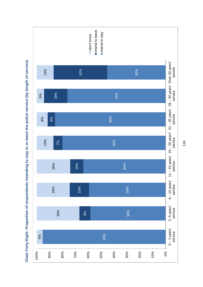

**Chart Forty-Eight: Proportion of respondents intending to stay in or leave the police service (by length of service)**  Chart Forty-Eight: Proportion of respondents intending to stay in or leave the police service (by length of service)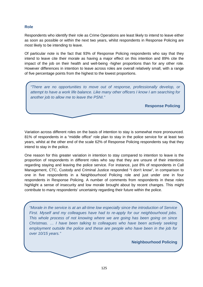# **Role**

Respondents who identify their role as Crime Operations are least likely to intend to leave either as soon as possible or within the next two years, whilst respondents in Response Policing are most likely to be intending to leave.

Of particular note is the fact that 93% of Response Policing respondents who say that they intend to leave cite their morale as having a major effect on this intention and 89% cite the impact of the job on their health and well-being -higher proportions than for any other role. However differences in intention to leave across roles are overall relatively small, with a range of five percentage points from the highest to the lowest proportions.

"There are no opportunities to move out of response, professionally develop, or attempt to have a work life balance. Like many other officers I know I am searching for another job to allow me to leave the PSNI."

**Response Policing** 

Variation across different roles on the basis of intention to stay is somewhat more pronounced. 81% of respondents in a "middle office" role plan to stay in the police service for at least two years, whilst at the other end of the scale 62% of Response Policing respondents say that they intend to stay in the police.

One reason for this greater variation in intention to stay compared to intention to leave is the proportion of respondents in different roles who say that they are unsure of their intentions regarding staying and leaving the police service. For instance, just 8% of respondents in Call Management, CTC, Custody and Criminal Justice responded "I don't know", in comparison to one in five respondents in a Neighbourhood Policing role and just under one in four respondents in Response Policing. A number of comments from respondents in these roles highlight a sense of insecurity and low morale brought about by recent changes. This might contribute to many respondents' uncertainty regarding their future within the police.

"Morale in the service is at an all-time low especially since the introduction of Service First. Myself and my colleagues have had to re-apply for our neighbourhood jobs. This whole process of not knowing where we are going has been going on since Christmas. … I have been talking to colleagues who have been actively seeking employment outside the police and these are people who have been in the job for over 10/15 years."

**Neighbourhood Policing**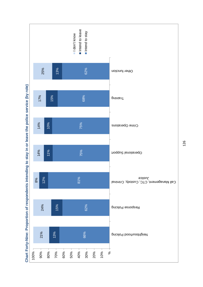

Chart Forty-Nine: Proportion of respondents intending to stay in or leave the police service (by role) **Chart Forty-Nine: Proportion of respondents intending to stay in or leave the police service (by role)**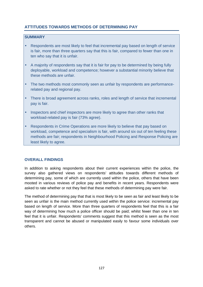# **ATTITUDES TOWARDS METHODS OF DETERMINING PAY**

## **SUMMARY**

- Respondents are most likely to feel that incremental pay based on length of service is fair, more than three quarters say that this is fair, compared to fewer than one in ten who say that it is unfair.
- A majority of respondents say that it is fair for pay to be determined by being fully deployable, workload and competence; however a substantial minority believe that these methods are unfair.
- The two methods most commonly seen as unfair by respondents are performancerelated pay and regional pay.
- There is broad agreement across ranks, roles and length of service that incremental pay is fair.
- Inspectors and chief inspectors are more likely to agree than other ranks that workload-related pay is fair (73% agree).
- Respondents in Crime Operations are more likely to believe that pay based on workload, competence and specialism is fair, with around six out of ten feeling these methods are fair; respondents in Neighbourhood Policing and Response Policing are least likely to agree.

## **OVERALL FINDINGS**

In addition to asking respondents about their current experiences within the police, the survey also gathered views on respondents' attitudes towards different methods of determining pay, some of which are currently used within the police, others that have been mooted in various reviews of police pay and benefits in recent years. Respondents were asked to rate whether or not they feel that these methods of determining pay were fair.

The method of determining pay that that is most likely to be seen as fair and least likely to be seen as unfair is the main method currently used within the police service: incremental pay based on length of service. More than three quarters of respondents feel that this is a fair way of determining how much a police officer should be paid; whilst fewer than one in ten feel that it is unfair. Respondents' comments suggest that this method is seen as the most transparent and cannot be abused or manipulated easily to favour some individuals over others.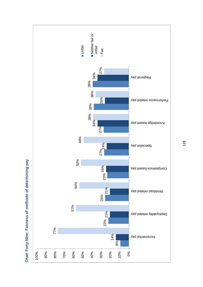

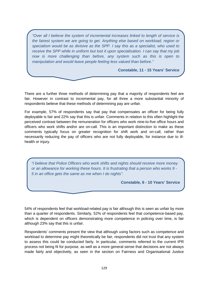"Over all I believe the system of incremental increases linked to length of service is the fairest system we are going to get. Anything else based on workload, region or specialism would be as divisive as the SPP. I say this as a specialist, who used to receive the SPP while in uniform but lost it upon specialisation. I can say that my job now is more challenging than before, any system such as this is open to manipulation and would leave people feeling less valued than before."

**Constable, 11 - 15 Years' Service** 

There are a further three methods of determining pay that a majority of respondents feel are fair. However in contrast to incremental pay, for all three a more substantial minority of respondents believe that these methods of determining pay are unfair.

For example, 57% of respondents say that pay that compensates an officer for being fully deployable is fair and 22% say that this is unfair. Comments in relation to this often highlight the perceived contrast between the remuneration for officers who work nine-to-five office hours and officers who work shifts and/or are on-call. This is an important distinction to make as these comments typically focus on greater recognition for shift work and on-call, rather than necessarily reducing the pay of officers who are not fully deployable, for instance due to illhealth or injury.

"I believe that Police Officers who work shifts and nights should receive more money or an allowance for working these hours. It is frustrating that a person who works 9 - 5 in an office gets the same as me when I do nights".

**Constable, 6 - 10 Years' Service** 

54% of respondents feel that workload-related pay is fair although this is seen as unfair by more than a quarter of respondents. Similarly, 52% of respondents feel that competence-based pay, which is dependent on officers demonstrating more competence in policing over time, is fair although 23% say that this is unfair.

Respondents' comments present the view that although using factors such as competence and workload to determine pay might theoretically be fair, respondents did not trust that any system to assess this could be conducted fairly. In particular, comments referred to the current IPR process not being fit for purpose, as well as a more general sense that decisions are not always made fairly and objectively, as seen in the section on Fairness and Organisational Justice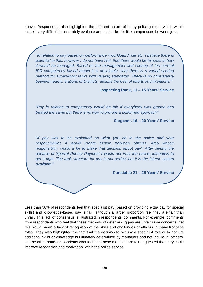above. Respondents also highlighted the different nature of many policing roles, which would make it very difficult to accurately evaluate and make like-for-like comparisons between jobs.

"In relation to pay based on performance / workload / role etc. I believe there is potential in this, however I do not have faith that there would be fairness in how it would be managed. Based on the management and scoring of the current IPR competency based model it is absolutely clear there is a varied scoring method for supervisory ranks with varying standards. There is no consistency between teams, stations or Districts, despite the best of efforts and intentions."

**Inspecting Rank, 11 – 15 Years' Service** 

"Pay in relation to competency would be fair if everybody was graded and treated the same but there is no way to provide a uniformed approach"

**Sergeant, 16 – 20 Years' Service** 

"If pay was to be evaluated on what you do in the police and your responsibilities it would create friction between officers. Also whose responsibility would it be to make that decision about pay? After seeing the debacle of Special Priority Payment I would not trust the police authorities to get it right. The rank structure for pay is not perfect but it is the fairest system available."

**Constable 21 – 25 Years' Service** 

Less than 50% of respondents feel that specialist pay (based on providing extra pay for special skills) and knowledge-based pay is fair, although a larger proportion feel they are fair than unfair. This lack of consensus is illustrated in respondents' comments. For example, comments from respondents who feel that these methods of determining pay are unfair raise concerns that this would mean a lack of recognition of the skills and challenges of officers in many front-line roles. They also highlighted the fact that the decision to occupy a specialist role or to acquire additional skills or knowledge is ultimately determined by managers and not individual officers. On the other hand, respondents who feel that these methods are fair suggested that they could improve recognition and motivation within the police service.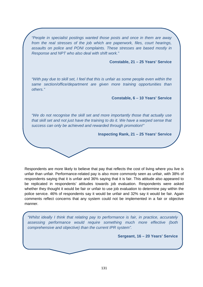"People in specialist postings wanted those posts and once in them are away from the real stresses of the job which are paperwork, files, court hearings, assaults on police and PONI complaints. These stresses are based mostly in Response and NPT who also deal with shift work."

#### **Constable, 21 – 25 Years' Service**

"With pay due to skill set, I feel that this is unfair as some people even within the same section/office/department are given more training opportunities than others."

**Constable, 6 – 10 Years' Service** 

"We do not recognise the skill set and more importantly those that actually use that skill set and not just have the training to do it. We have a warped sense that success can only be achieved and rewarded through promotion!"

**Inspecting Rank, 21 – 25 Years' Service** 

Respondents are more likely to believe that pay that reflects the cost of living where you live is unfair than unfair. Performance-related pay is also more commonly seen as unfair, with 38% of respondents saying that it is unfair and 36% saying that it is fair. This attitude also appeared to be replicated in respondents' attitudes towards job evaluation. Respondents were asked whether they thought it would be fair or unfair to use job evaluation to determine pay within the police service. 46% of respondents say it would be unfair and 32% say it would be fair. Again comments reflect concerns that any system could not be implemented in a fair or objective manner.

"Whilst ideally I think that relating pay to performance is fair, in practice, accurately assessing performance would require something much more effective (both comprehensive and objective) than the current IPR system".

**Sergeant, 16 – 20 Years' Service**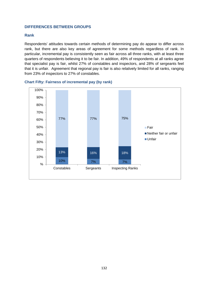#### **DIFFERENCES BETWEEN GROUPS**

#### **Rank**

Respondents' attitudes towards certain methods of determining pay do appear to differ across rank, but there are also key areas of agreement for some methods regardless of rank. In particular, incremental pay is consistently seen as fair across all three ranks, with at least three quarters of respondents believing it to be fair. In addition, 49% of respondents at all ranks agree that specialist pay is fair, whilst 27% of constables and inspectors, and 28% of sergeants feel that it is unfair. Agreement that regional pay is fair is also relatively limited for all ranks, ranging from 23% of inspectors to 27% of constables.



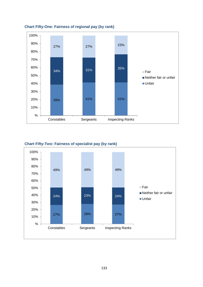

# **Chart Fifty-One: Fairness of regional pay (by rank)**

#### **Chart Fifty-Two: Fairness of specialist pay (by rank)**

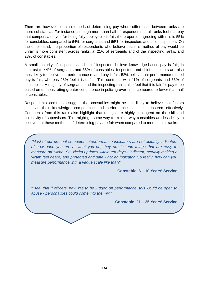There are however certain methods of determining pay where differences between ranks are more substantial. For instance although more than half of respondents at all ranks feel that pay that compensates you for being fully deployable is fair, the proportion agreeing with this is 55% for constables, compared to 64% for sergeants and 66% for inspectors and chief inspectors. On the other hand, the proportion of respondents who believe that this method of pay would be unfair is more consistent across ranks, at 21% of sergeants and of the inspecting ranks, and 23% of constables.

A small majority of inspectors and chief inspectors believe knowledge-based pay is fair, in contrast to 44% of sergeants and 36% of constables. Inspectors and chief inspectors are also most likely to believe that performance-related pay is fair. 52% believe that performance-related pay is fair, whereas 28% feel it is unfair. This contrasts with 41% of sergeants and 33% of constables. A majority of sergeants and the inspecting ranks also feel that it is fair for pay to be based on demonstrating greater competence in policing over time, compared to fewer than half of constables.

Respondents' comments suggest that constables might be less likely to believe that factors such as their knowledge, competence and performance can be measured effectively. Comments from this rank also highlight that ratings are highly contingent on the skill and objectivity of supervisors. This might go some way to explain why constables are less likely to believe that these methods of determining pay are fair when compared to more senior ranks.

"Most of our present competence/performance indicators are not actually indicators of how good you are at what you do; they are instead things that are easy to measure off Niche. So, victim updates within ten days - indicator; actually making a victim feel heard, and protected and safe - not an indicator. So really, how can you measure performance with a vague scale like that?"

**Constable, 6 – 10 Years' Service** 

"I feel that if officers' pay was to be judged on performance, this would be open to abuse - personalities could come into the mix."

**Constable, 21 – 25 Years' Service**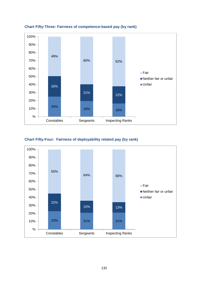

# **Chart Fifty-Three: Fairness of competence-based pay (by rank)**

#### **Chart Fifty-Four: Fairness of deployability related pay (by rank)**

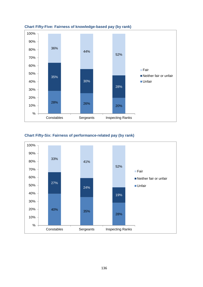

# **Chart Fifty-Five: Fairness of knowledge-based pay (by rank)**

## **Chart Fifty-Six: Fairness of performance-related pay (by rank)**

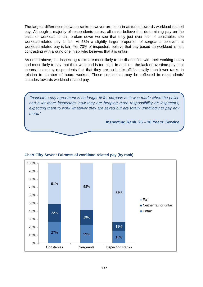The largest differences between ranks however are seen in attitudes towards workload-related pay. Although a majority of respondents across all ranks believe that determining pay on the basis of workload is fair, broken down we see that only just over half of constables see workload-related pay is fair. At 58% a slightly larger proportion of sergeants believe that workload-related pay is fair. Yet 73% of inspectors believe that pay based on workload is fair; contrasting with around one in six who believes that it is unfair.

As noted above, the inspecting ranks are most likely to be dissatisfied with their working hours and most likely to say that their workload is too high. In addition, the lack of overtime payment means that many respondents feel that they are no better off financially than lower ranks in relation to number of hours worked. These sentiments may be reflected in respondents' attitudes towards workload-related pay.

"Inspectors pay agreement is no longer fit for purpose as it was made when the police had a lot more inspectors, now they are heaping more responsibility on inspectors, expecting them to work whatever they are asked but are totally unwillingly to pay any more."

**Inspecting Rank, 26 – 30 Years' Service** 



#### **Chart Fifty-Seven: Fairness of workload-related pay (by rank)**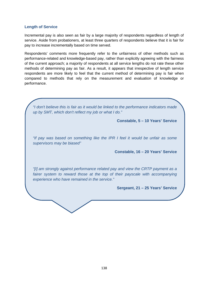#### **Length of Service**

Incremental pay is also seen as fair by a large majority of respondents regardless of length of service. Aside from probationers, at least three quarters of respondents believe that it is fair for pay to increase incrementally based on time served.

Respondents' comments more frequently refer to the unfairness of other methods such as performance-related and knowledge-based pay, rather than explicitly agreeing with the fairness of the current approach; a majority of respondents at all service lengths do not rate these other methods of determining pay as fair. As a result, it appears that irrespective of length service respondents are more likely to feel that the current method of determining pay is fair when compared to methods that rely on the measurement and evaluation of knowledge or performance.

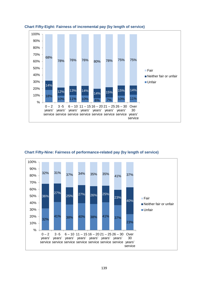





**Chart Fifty-Nine: Fairness of performance-related pay (by length of service)**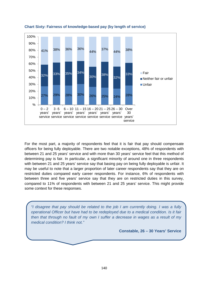

#### **Chart Sixty: Fairness of knowledge-based pay (by length of service)**

For the most part, a majority of respondents feel that it is fair that pay should compensate officers for being fully deployable. There are two notable exceptions, 48% of respondents with between 21 and 25 years' service and with more than 30 years' service feel that this method of determining pay is fair. In particular, a significant minority of around one in three respondents with between 21 and 25 years' service say that basing pay on being fully deployable is unfair. It may be useful to note that a larger proportion of later career respondents say that they are on restricted duties compared early career respondents. For instance, 6% of respondents with between three and five years' service say that they are on restricted duties in this survey, compared to 11% of respondents with between 21 and 25 years' service. This might provide some context for these responses.

 "I disagree that pay should be related to the job I am currently doing. I was a fully operational Officer but have had to be redeployed due to a medical condition. Is it fair then that through no fault of my own I suffer a decrease in wages as a result of my medical condition? I think not."

**Constable, 26 – 30 Years' Service**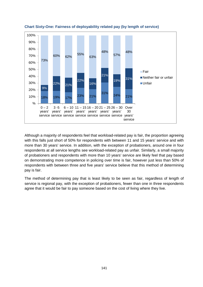



Although a majority of respondents feel that workload-related pay is fair, the proportion agreeing with this falls just short of 50% for respondents with between 11 and 15 years' service and with more than 30 years' service. In addition, with the exception of probationers, around one in four respondents at all service lengths see workload-related pay as unfair. Similarly, a small majority of probationers and respondents with more than 10 years' service are likely feel that pay based on demonstrating more competence in policing over time is fair, however just less than 50% of respondents with between three and five years' service believe that this method of determining pay is fair.

The method of determining pay that is least likely to be seen as fair, regardless of length of service is regional pay, with the exception of probationers, fewer than one in three respondents agree that it would be fair to pay someone based on the cost of living where they live.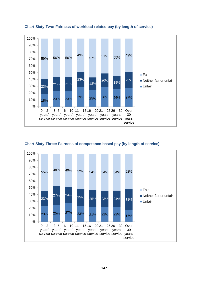

#### **Chart Sixty-Two: Fairness of workload-related pay (by length of service)**



#### **Chart Sixty-Three: Fairness of competence-based pay (by length of service)**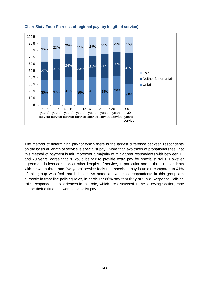

#### **Chart Sixty-Four: Fairness of regional pay (by length of service)**

The method of determining pay for which there is the largest difference between respondents on the basis of length of service is specialist pay. More than two thirds of probationers feel that this method of payment is fair, moreover a majority of mid-career respondents with between 11 and 20 years' agree that is would be fair to provide extra pay for specialist skills. However agreement is less common at other lengths of service, in particular one in three respondents with between three and five years' service feels that specialist pay is unfair, compared to 41% of this group who feel that it is fair. As noted above, most respondents in this group are currently in front-line policing roles, in particular 86% say that they are in a Response Policing role. Respondents' experiences in this role, which are discussed in the following section, may shape their attitudes towards specialist pay.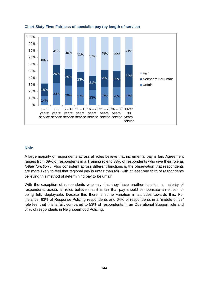

## **Chart Sixty-Five: Fairness of specialist pay (by length of service)**

#### **Role**

A large majority of respondents across all roles believe that incremental pay is fair. Agreement ranges from 69% of respondents in a Training role to 83% of respondents who give their role as "other function". Also consistent across different functions is the observation that respondents are more likely to feel that regional pay is unfair than fair, with at least one third of respondents believing this method of determining pay to be unfair.

With the exception of respondents who say that they have another function, a majority of respondents across all roles believe that it is fair that pay should compensate an officer for being fully deployable. Despite this there is some variation in attitudes towards this. For instance, 63% of Response Policing respondents and 64% of respondents in a "middle office" role feel that this is fair, compared to 53% of respondents in an Operational Support role and 54% of respondents in Neighbourhood Policing.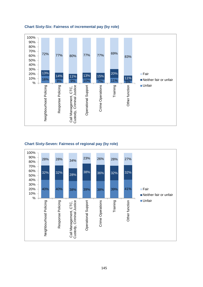

## **Chart Sixty-Six: Fairness of incremental pay (by role)**

# **Chart Sixty-Seven: Fairness of regional pay (by role)**

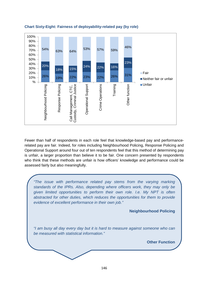

## **Chart Sixty-Eight: Fairness of deployability-related pay (by role)**

Fewer than half of respondents in each role feel that knowledge-based pay and performancerelated pay are fair. Indeed, for roles including Neighbourhood Policing, Response Policing and Operational Support around four out of ten respondents feel that this method of determining pay is unfair, a larger proportion than believe it to be fair. One concern presented by respondents who think that these methods are unfair is how officers' knowledge and performance could be assessed fairly but also meaningfully.

"The issue with performance related pay stems from the varying marking standards of the IPRs. Also, depending where officers work, they may only be given limited opportunities to perform their own role. I.e. My NPT is often abstracted for other duties, which reduces the opportunities for them to provide evidence of excellent performance in their own job."

**Neighbourhood Policing** 

"I am busy all day every day but it is hard to measure against someone who can be measured with statistical information."

**Other Function**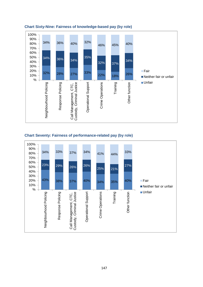

## **Chart Sixty-Nine: Fairness of knowledge-based pay (by role)**

## **Chart Seventy: Fairness of performance-related pay (by role)**

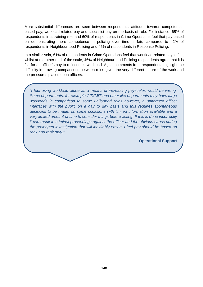More substantial differences are seen between respondents' attitudes towards competencebased pay, workload-related pay and specialist pay on the basis of role. For instance, 65% of respondents in a training role and 60% of respondents in Crime Operations feel that pay based on demonstrating more competence in policing over time is fair, compared to 42% of respondents in Neighbourhood Policing and 46% of respondents in Response Policing.

In a similar vein, 61% of respondents in Crime Operations feel that workload-related pay is fair, whilst at the other end of the scale, 46% of Neighbourhood Policing respondents agree that it is fair for an officer's pay to reflect their workload. Again comments from respondents highlight the difficulty in drawing comparisons between roles given the very different nature of the work and the pressures placed upon officers.

"I feel using workload alone as a means of increasing payscales would be wrong. Some departments, for example CID/MIT and other like departments may have large workloads in comparison to some uniformed roles however, a uniformed officer interfaces with the public on a day to day basis and this requires spontaneous decisions to be made, on some occasions with limited information available and a very limited amount of time to consider things before acting. If this is done incorrectly it can result in criminal proceedings against the officer and the obvious stress during the prolonged investigation that will inevitably ensue. I feel pay should be based on rank and rank only."

**Operational Support**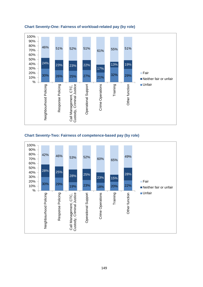

## **Chart Seventy-One: Fairness of workload-related pay (by role)**



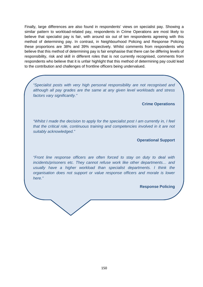Finally, large differences are also found in respondents' views on specialist pay. Showing a similar pattern to workload-related pay, respondents in Crime Operations are most likely to believe that specialist pay is fair, with around six out of ten respondents agreeing with this method of determining pay. In contrast, in Neighbourhood Policing and Response Policing these proportions are 38% and 39% respectively. Whilst comments from respondents who believe that this method of determining pay is fair emphasise that there can be differing levels of responsibility, risk and skill in different roles that is not currently recognised, comments from respondents who believe that it is unfair highlight that this method of determining pay could lead to the contribution and challenges of frontline officers being undervalued.

"Specialist posts with very high personal responsibility are not recognised and although all pay grades are the same at any given level workloads and stress factors vary significantly."

#### **Crime Operations**

"Whilst I made the decision to apply for the specialist post I am currently in, I feel that the critical role, continuous training and competencies involved in it are not suitably acknowledged."

## **Operational Support**

"Front line response officers are often forced to stay on duty to deal with incidents/prisoners etc. They cannot refuse work like other departments… and usually have a higher workload than specialist departments. I think the organisation does not support or value response officers and morale is lower here."

**Response Policing**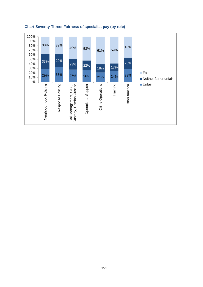

# **Chart Seventy-Three: Fairness of specialist pay (by role)**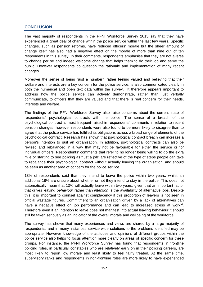# **CONCLUSION**

The vast majority of respondents in the PFNI Workforce Survey 2015 say that they have experienced a great deal of change within the police service within the last few years. Specific changes, such as pension reforms, have reduced officers' morale but the sheer amount of change itself has also had a negative effect on the morale of more than nine out of ten respondents in this survey. In their comments, respondents emphasise that they are not averse to change per se and indeed welcome change that helps them to do their job and serve the public. However respondents do question the rationale and implementation of many recent changes.

Moreover the sense of being "just a number", rather feeling valued and believing that their welfare and interests are a key concern for the police service, is also communicated clearly in both the numerical and open text data within the survey. It therefore appears important to address how the police service can actively demonstrate, rather than just verbally communicate, to officers that they are valued and that there is real concern for their needs, interests and welfare.

The findings of the PFNI Workforce Survey also raise concerns about the current state of respondents' psychological contracts with the police. The sense of a breach of the psychological contract is most frequent raised in respondents' comments in relation to recent pension changes; however respondents were also found to be more likely to disagree than to agree that the police service has fulfilled its obligations across a broad range of elements of the psychological contract. Research has shown that psychological contract breach can increase a person's intention to quit an organisation. In addition, psychological contracts can also be revised and rebalanced in a way that may not be favourable for either the service or for individual officers. Respondents' comments that refer to no longer being willing to go the extra mile or starting to see policing as "just a job" are reflective of the type of steps people can take to rebalance their psychological contract without actually leaving the organisation, and should be seen as another area of concern for the police service.

13% of respondents said that they intend to leave the police within two years, whilst an additional 18% are unsure about whether or not they intend to stay in the police. This does not automatically mean that 13% will actually leave within two years, given that an important factor that drives leaving behaviour rather than intention is the availability of alternative jobs. Despite this, it is important to counsel against complacency if this proportion of leavers is not seen in official wastage figures. Commitment to an organisation driven by a lack of alternatives can have a negative effect on job performance and can lead to increased stress at work<sup>lvi</sup>. Therefore even if an intention to leave does not manifest into actual leaving behaviour it should still be taken seriously as an indicator of the overall morale and wellbeing of the workforce.

The survey has shown that many experiences and views are shared by a large majority of respondents, and in many instances service-wide solutions to the problems identified may be appropriate. However knowledge of the attitudes and opinions of different groups within the police service also helps to focus attention more clearly on areas of specific concern for these groups. For instance, the PFNI Workforce Survey has found that respondents in frontline policing roles, in particular constables who are relatively early on in their policing careers, are most likely to report low morale and least likely to feel fairly treated. At the same time, supervisory ranks and respondents in non-frontline roles are more likely to have experienced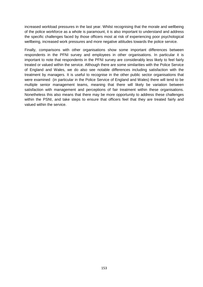increased workload pressures in the last year. Whilst recognising that the morale and wellbeing of the police workforce as a whole is paramount, it is also important to understand and address the specific challenges faced by those officers most at risk of experiencing poor psychological wellbeing, increased work pressures and more negative attitudes towards the police service.

Finally, comparisons with other organisations show some important differences between respondents in the PFNI survey and employees in other organisations. In particular it is important to note that respondents in the PFNI survey are considerably less likely to feel fairly treated or valued within the service. Although there are some similarities with the Police Service of England and Wales, we do also see notable differences including satisfaction with the treatment by managers. It is useful to recognise in the other public sector organisations that were examined (in particular in the Police Service of England and Wales) there will tend to be multiple senior management teams, meaning that there will likely be variation between satisfaction with management and perceptions of fair treatment within these organisations. Nonetheless this also means that there may be more opportunity to address these challenges within the PSNI, and take steps to ensure that officers feel that they are treated fairly and valued within the service.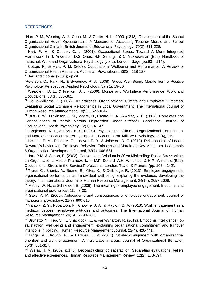## **REFERENCES**

 $\overline{a}$ 

<sup>i</sup> Hart, P. M., Wearing, A. J., Conn, M., & Carter, N. L. (2000, p.213). Development of the School Organisational Health Questionnaire: A Measure for Assessing Teacher Morale and School Organisational Climate. British Journal of Educational Psychology, 70(2), 211-228.

<sup>ii</sup> Hart, P. M., & Cooper, C. L. (2001). Occupational Stress: Toward A More Integrated Framework. In N. Anderson, D.S. Ones, H.K. Sinangil, & C. Viswesvaran (Eds), Handbook of Industrial, Work and Organizational Psychology (vol 2). London: Sage (pp.93 – 114).

III Cotton, P., & Hart, P. M. (2003). Occupational Wellbeing and Performance: A Review of Organisational Health Research. Australian Psychologist, 38(2), 118-127.

 $\frac{1}{10}$  Hart and Cooper (2001); op.cit.

<sup>v</sup>Peterson, C., Park, N., & Sweeney, P. J. (2008). Group Well-Being: Morale from a Positive Psychology Perspective. Applied Psychology, 57(s1), 19-36.

vi Weakliem, D. L., & Frenkel, S. J. (2006). Morale and Workplace Performance. Work and Occupations, 33(3), 335-361.

vii Gould-Williams, J. (2007). HR practices, Organizational Climate and Employee Outcomes: Evaluating Social Exchange Relationships in Local Government. The International Journal of Human Resource Management, 18(9), 1627-1647.

viii Britt, T. W., Dickinson, J. M., Moore, D., Castro, C. A., & Adler, A. B. (2007). Correlates and Consequences of Morale Versus Depression Under Stressful Conditions. Journal of Occupational Health Psychology, 12(1), 34 - 47

 $i<sup>x</sup>$  Langkamer, K. L., & Ervin, K. S. (2008). Psychological Climate, Organizational Commitment and Morale: Implications for Army Captains' Career Intent. Military Psychology, 20(4), 219.

x Jackson, E. M., Rossi, M. E., Hoover, E. R., & Johnson, R. E. (2012). Relationships of Leader Reward Behavior with Employee Behavior: Fairness and Morale as Key Mediators. Leadership & Organization Development Journal, 33(7), 646-661.

xi Hart, P.M. & Cotton, P. (2002). Conventional Wisdom is Often Misleading: Police Stress within an Organisational Health Framework. In M.F. Dollard, A.H. Winefiled, & H.R. Winefield (Eds), Occupational Stress in the Service Professions. London: Taylor & Francis, (pp. 103 – 142).

<sup>xii</sup> Truss, C., Shantz, A., Soane, E., Alfes, K., & Delbridge, R. (2013). Employee engagement, organisational performance and individual well-being: exploring the evidence, developing the theory. The International Journal of Human Resource Management, 24(14), 2657-2669.

xiii Macey, W. H., & Schneider, B. (2008). The meaning of employee engagement. Industrial and organizational psychology, 1(1), 3-30.

xiv Saks, A. M. (2006). Antecedents and consequences of employee engagement. Journal of managerial psychology, 21(7), 600-619.

 $x^{y}$  Yalabik, Z. Y., Popaitoon, P., Chowne, J. A., & Rayton, B. A. (2013). Work engagement as a mediator between employee attitudes and outcomes. The International Journal of Human Resource Management, 24(14), 2799-2823.

xvi Brunetto, Y., Teo, S. T., Shacklock, K., & Farr‐Wharton, R. (2012). Emotional intelligence, job satisfaction, well-being and engagement: explaining organisational commitment and turnover intentions in policing. Human Resource Management Journal, 22(4), 428-441.

xvii Biggs, A., Brough, P., & Barbour, J. P. (2014). Strategic alignment with organizational priorities and work engagement: A multi-wave analysis. Journal of Organizational Behavior. 35(3), 301-317.

xviii Weiss, H. M. (2002, p.175). Deconstructing job satisfaction: Separating evaluations, beliefs and affective experiences. Human Resource Management Review, 12(2), 173-194.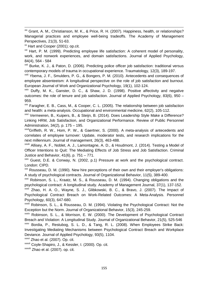xix Grant, A. M., Christianson, M. K., & Price, R. H. (2007). Happiness, health, or relationships? Managerial practices and employee well-being tradeoffs. The Academy of Management Perspectives, 21(3), 51-63.

<sup>xx</sup> Hart and Cooper (2001); op.cit.

 $\overline{a}$ 

<sup>xxi</sup> Hart, P. M. (1999). Predicting employee life satisfaction: A coherent model of personality, work, and nonwork experiences, and domain satisfactions. Journal of Applied Psychology, 84(4), 564 - 584

<sup>xxii</sup> Burke, K. J., & Paton, D. (2006). Predicting police officer job satisfaction: traditional versus contemporary models of trauma in occupational experience. Traumatology, 12(3), 189-197.

xxiii Ybema, J. F., Smulders, P. G., & Bongers, P. M. (2010). Antecedents and consequences of employee absenteeism: A longitudinal perspective on the role of job satisfaction and burnout. European Journal of Work and Organizational Psychology, 19(1), 102-124.

 $x\dot{x}$  Duffy, M. K., Ganster, D. C., & Shaw, J. D. (1998). Positive affectivity and negative outcomes: the role of tenure and job satisfaction. Journal of Applied Psychology, 83(6), 950 – 959.

xxv Faragher, E. B., Cass, M., & Cooper, C. L. (2005). The relationship between job satisfaction and health: a meta-analysis. Occupational and environmental medicine, 62(2), 105-112.

xxvi Vermeeren, B., Kuipers, B., & Steijn, B. (2014). Does Leadership Style Make a Difference? Linking HRM, Job Satisfaction, and Organizational Performance. Review of Public Personnel Administration, 34(2), p. 175 – 195.

xxviiGriffeth, R. W., Hom, P. W., & Gaertner, S. (2000). A meta-analysis of antecedents and correlates of employee turnover: Update, moderator tests, and research implications for the next millennium. Journal of management, 26(3), 463-488.

xxviii Allisey, A. F., Noblet, A. J., Lamontagne, A. D., & Houdmont, J. (2014). Testing a Model of Officer Intentions to Quit: The Mediating Effects of Job Stress and Job Satisfaction. Criminal Justice and Behavior, 41(6), p. 751 – 771.

 $x$ xix Guest, D.E. & Conway, N. (2002, p.1) Pressure at work and the psychological contract. London: CIPD.

xxx Rousseau, D. M. (1990). New hire perceptions of their own and their employer's obligations: A study of psychological contracts. Journal of Organizational Behavior, 11(5), 389-400.

xxxi Robinson, S. L., Kraatz, M. S., & Rousseau, D. M. (1994). Changing obligations and the psychological contract: A longitudinal study. Academy of Management Journal, 37(1), 137-152.

xxxii Zhao, H. A. O., Wayne, S. J., Glibkowski, B. C., & Bravo, J. (2007). The Impact of Psychological Contract Breach on Work‐Related Outcomes: A Meta‐Analysis. Personnel Psychology, 60(3), 647-680.

xxxiii Robinson, S. L., & Rousseau, D. M. (1994). Violating the Psychological Contract: Not the Exception but the Norm. Journal of Organizational Behavior, 15(3), 245-259.

xxxiv Robinson, S. L., & Morrison, E. W. (2000). The Development of Psychological Contract Breach and Violation: A Longitudinal Study. Journal of Organizational Behavior, 21(5), 525-546 xxxv Bordia, P., Restubog, S. L. D., & Tang, R. L. (2008). When Employees Strike Back:

Investigating Mediating Mechanisms between Psychological Contract Breach and Workplace Deviance. Journal of Applied Psychology, 93(5), 1104.

xxxvi Zhao et al. (2007). Op. cit.

xxxvii Coyle‐Shapiro, J., & Kessler, I. (2000). Op. cit.

xxxviii Zhao et al. (2007). op. cit.